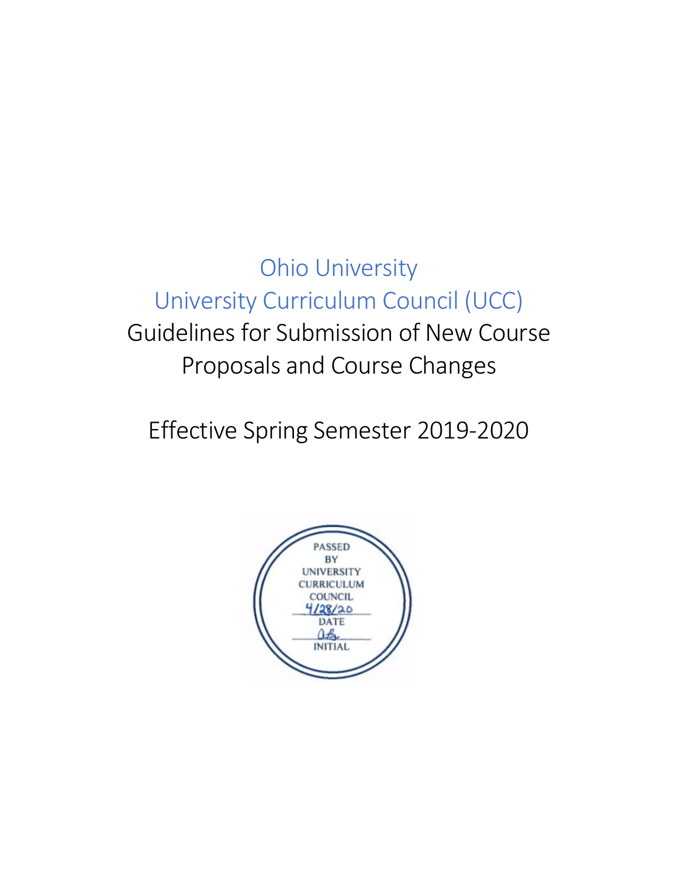Ohio University University Curriculum Council (UCC) Guidelines for Submission of New Course Proposals and Course Changes

Effective Spring Semester 2019-2020

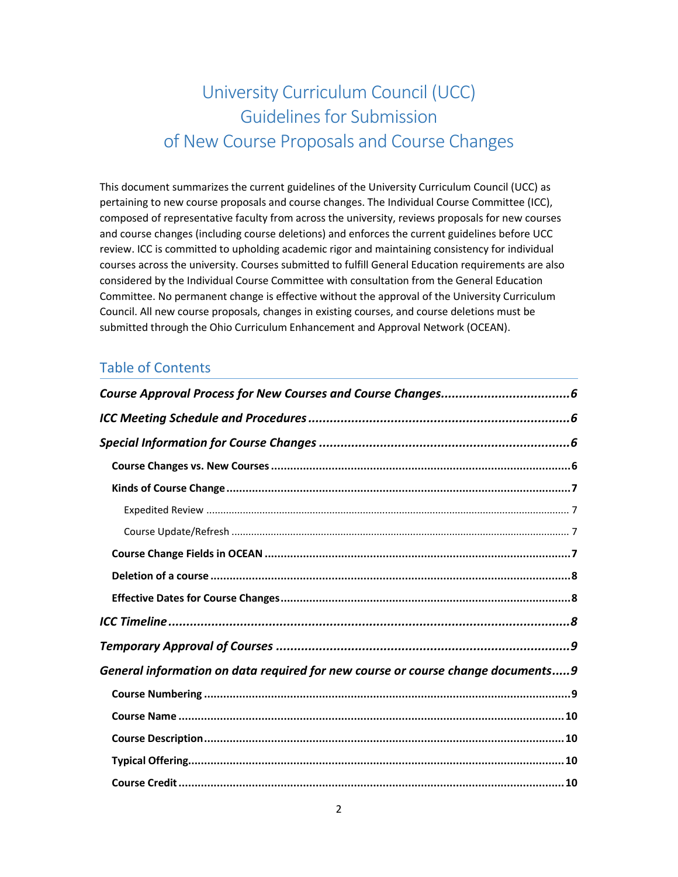# University Curriculum Council (UCC) Guidelines for Submission of New Course Proposals and Course Changes

This document summarizes the current guidelines of the University Curriculum Council (UCC) as pertaining to new course proposals and course changes. The Individual Course Committee (ICC), composed of representative faculty from across the university, reviews proposals for new courses and course changes (including course deletions) and enforces the current guidelines before UCC review. ICC is committed to upholding academic rigor and maintaining consistency for individual courses across the university. Courses submitted to fulfill General Education requirements are also considered by the Individual Course Committee with consultation from the General Education Committee. No permanent change is effective without the approval of the University Curriculum Council. All new course proposals, changes in existing courses, and course deletions must be submitted through the Ohio Curriculum Enhancement and Approval Network (OCEAN).

# Table of Contents

| General information on data required for new course or course change documents9 |  |
|---------------------------------------------------------------------------------|--|
|                                                                                 |  |
|                                                                                 |  |
|                                                                                 |  |
|                                                                                 |  |
|                                                                                 |  |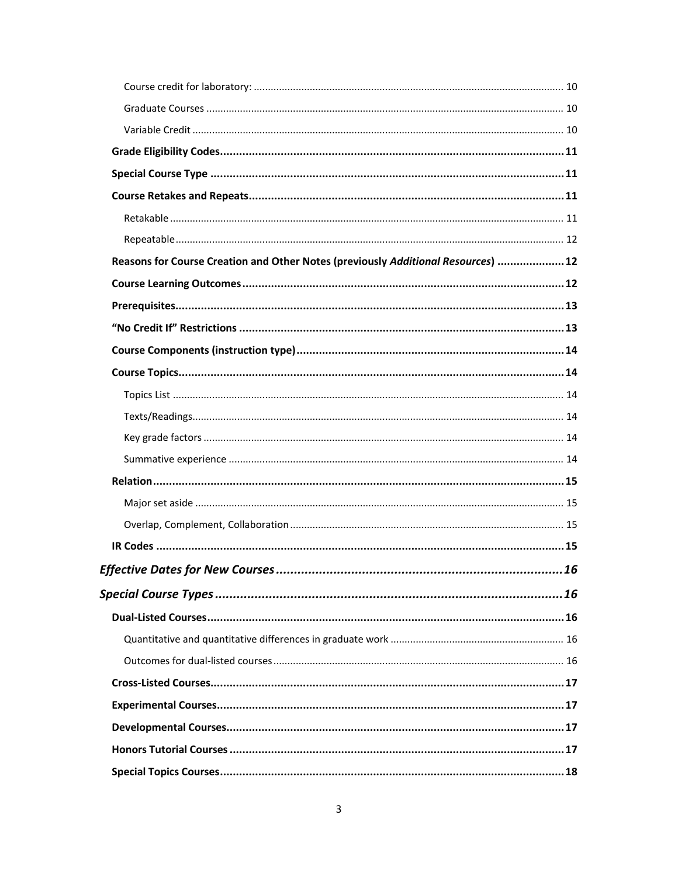| Reasons for Course Creation and Other Notes (previously Additional Resources)  12 |  |
|-----------------------------------------------------------------------------------|--|
|                                                                                   |  |
|                                                                                   |  |
|                                                                                   |  |
|                                                                                   |  |
|                                                                                   |  |
|                                                                                   |  |
|                                                                                   |  |
|                                                                                   |  |
|                                                                                   |  |
|                                                                                   |  |
|                                                                                   |  |
|                                                                                   |  |
|                                                                                   |  |
|                                                                                   |  |
|                                                                                   |  |
|                                                                                   |  |
|                                                                                   |  |
|                                                                                   |  |
|                                                                                   |  |
|                                                                                   |  |
|                                                                                   |  |
|                                                                                   |  |
|                                                                                   |  |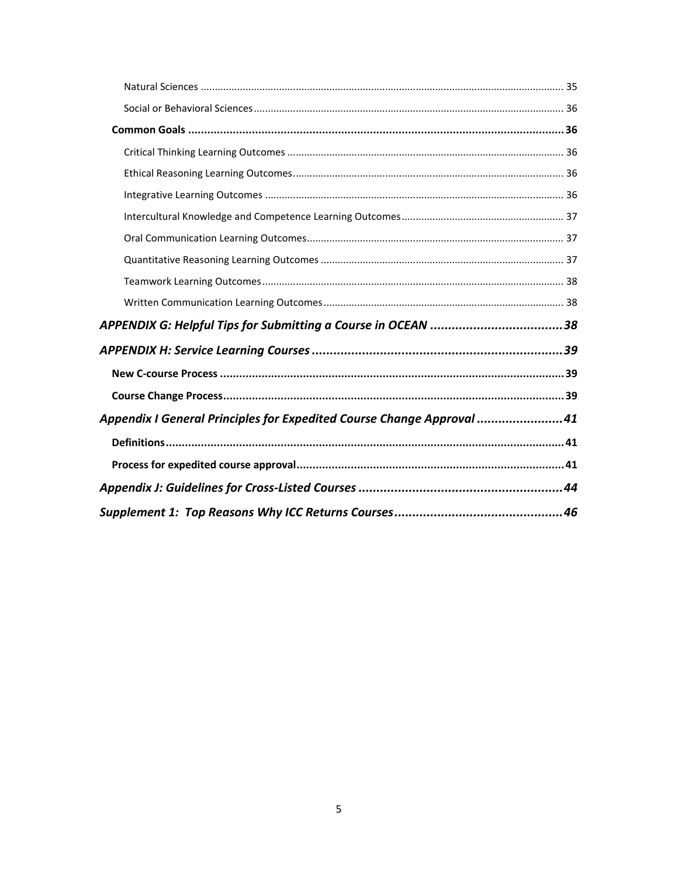| Appendix I General Principles for Expedited Course Change Approval 41 |  |
|-----------------------------------------------------------------------|--|
|                                                                       |  |
|                                                                       |  |
|                                                                       |  |
|                                                                       |  |
|                                                                       |  |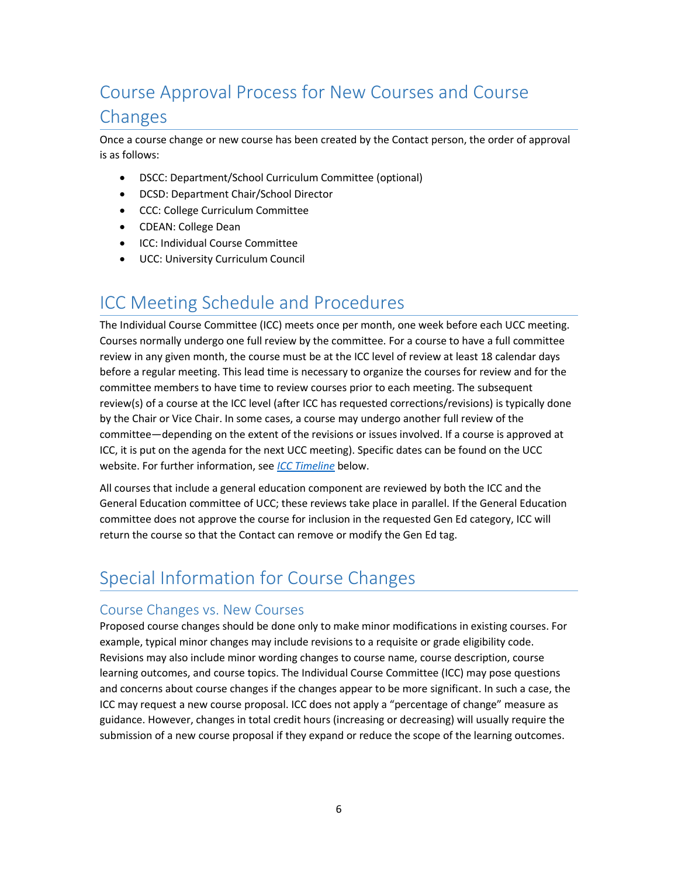# <span id="page-5-0"></span>Course Approval Process for New Courses and Course Changes

Once a course change or new course has been created by the Contact person, the order of approval is as follows:

- DSCC: Department/School Curriculum Committee (optional)
- DCSD: Department Chair/School Director
- CCC: College Curriculum Committee
- CDEAN: College Dean
- ICC: Individual Course Committee
- UCC: University Curriculum Council

# <span id="page-5-1"></span>ICC Meeting Schedule and Procedures

The Individual Course Committee (ICC) meets once per month, one week before each UCC meeting. Courses normally undergo one full review by the committee. For a course to have a full committee review in any given month, the course must be at the ICC level of review at least 18 calendar days before a regular meeting. This lead time is necessary to organize the courses for review and for the committee members to have time to review courses prior to each meeting. The subsequent review(s) of a course at the ICC level (after ICC has requested corrections/revisions) is typically done by the Chair or Vice Chair. In some cases, a course may undergo another full review of the committee—depending on the extent of the revisions or issues involved. If a course is approved at ICC, it is put on the agenda for the next UCC meeting). Specific dates can be found on the UCC website. For further information, see *[ICC Timeline](#page-7-2)* below.

All courses that include a general education component are reviewed by both the ICC and the General Education committee of UCC; these reviews take place in parallel. If the General Education committee does not approve the course for inclusion in the requested Gen Ed category, ICC will return the course so that the Contact can remove or modify the Gen Ed tag.

# <span id="page-5-2"></span>Special Information for Course Changes

## <span id="page-5-3"></span>Course Changes vs. New Courses

Proposed course changes should be done only to make minor modifications in existing courses. For example, typical minor changes may include revisions to a requisite or grade eligibility code. Revisions may also include minor wording changes to course name, course description, course learning outcomes, and course topics. The Individual Course Committee (ICC) may pose questions and concerns about course changes if the changes appear to be more significant. In such a case, the ICC may request a new course proposal. ICC does not apply a "percentage of change" measure as guidance. However, changes in total credit hours (increasing or decreasing) will usually require the submission of a new course proposal if they expand or reduce the scope of the learning outcomes.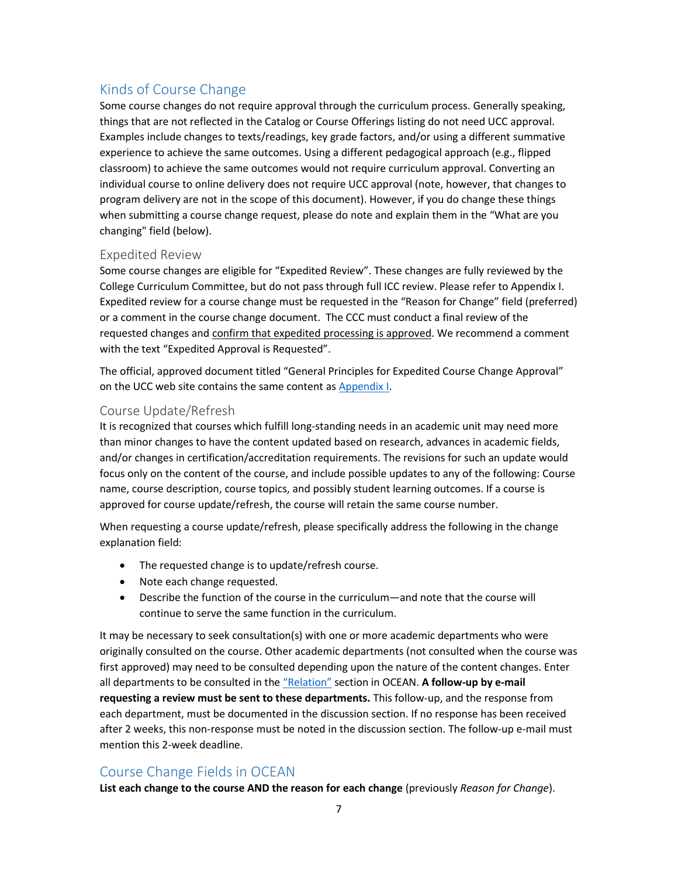# <span id="page-6-0"></span>Kinds of Course Change

Some course changes do not require approval through the curriculum process. Generally speaking, things that are not reflected in the Catalog or Course Offerings listing do not need UCC approval. Examples include changes to texts/readings, key grade factors, and/or using a different summative experience to achieve the same outcomes. Using a different pedagogical approach (e.g., flipped classroom) to achieve the same outcomes would not require curriculum approval. Converting an individual course to online delivery does not require UCC approval (note, however, that changes to program delivery are not in the scope of this document). However, if you do change these things when submitting a course change request, please do note and explain them in the "What are you changing" field (below).

#### <span id="page-6-1"></span>Expedited Review

Some course changes are eligible for "Expedited Review". These changes are fully reviewed by the College Curriculum Committee, but do not pass through full ICC review. Please refer to Appendix I. Expedited review for a course change must be requested in the "Reason for Change" field (preferred) or a comment in the course change document. The CCC must conduct a final review of the requested changes and confirm that expedited processing is approved. We recommend a comment with the text "Expedited Approval is Requested".

The official, approved document titled "General Principles for Expedited Course Change Approval" on the UCC web site contains the same content as [Appendix I.](#page-40-0)

#### <span id="page-6-2"></span>Course Update/Refresh

It is recognized that courses which fulfill long-standing needs in an academic unit may need more than minor changes to have the content updated based on research, advances in academic fields, and/or changes in certification/accreditation requirements. The revisions for such an update would focus only on the content of the course, and include possible updates to any of the following: Course name, course description, course topics, and possibly student learning outcomes. If a course is approved for course update/refresh, the course will retain the same course number.

When requesting a course update/refresh, please specifically address the following in the change explanation field:

- The requested change is to update/refresh course.
- Note each change requested.
- Describe the function of the course in the curriculum—and note that the course will continue to serve the same function in the curriculum.

It may be necessary to seek consultation(s) with one or more academic departments who were originally consulted on the course. Other academic departments (not consulted when the course was first approved) may need to be consulted depending upon the nature of the content changes. Enter all departments to be consulted in the ["Relation"](#page-14-2) section in OCEAN. **A follow-up by e-mail requesting a review must be sent to these departments.** This follow-up, and the response from each department, must be documented in the discussion section. If no response has been received after 2 weeks, this non-response must be noted in the discussion section. The follow-up e-mail must mention this 2-week deadline.

## <span id="page-6-3"></span>Course Change Fields in OCEAN

**List each change to the course AND the reason for each change** (previously *Reason for Change*).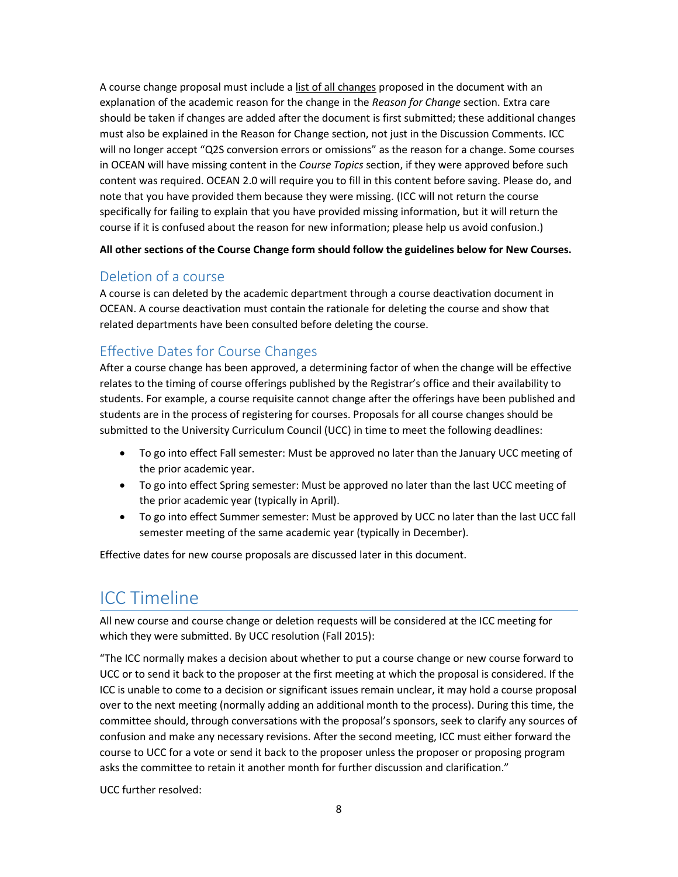A course change proposal must include a list of all changes proposed in the document with an explanation of the academic reason for the change in the *Reason for Change* section. Extra care should be taken if changes are added after the document is first submitted; these additional changes must also be explained in the Reason for Change section, not just in the Discussion Comments. ICC will no longer accept "Q2S conversion errors or omissions" as the reason for a change. Some courses in OCEAN will have missing content in the *Course Topics* section, if they were approved before such content was required. OCEAN 2.0 will require you to fill in this content before saving. Please do, and note that you have provided them because they were missing. (ICC will not return the course specifically for failing to explain that you have provided missing information, but it will return the course if it is confused about the reason for new information; please help us avoid confusion.)

**All other sections of the Course Change form should follow the guidelines below for New Courses.**

## <span id="page-7-0"></span>Deletion of a course

A course is can deleted by the academic department through a course deactivation document in OCEAN. A course deactivation must contain the rationale for deleting the course and show that related departments have been consulted before deleting the course.

# <span id="page-7-1"></span>Effective Dates for Course Changes

After a course change has been approved, a determining factor of when the change will be effective relates to the timing of course offerings published by the Registrar's office and their availability to students. For example, a course requisite cannot change after the offerings have been published and students are in the process of registering for courses. Proposals for all course changes should be submitted to the University Curriculum Council (UCC) in time to meet the following deadlines:

- To go into effect Fall semester: Must be approved no later than the January UCC meeting of the prior academic year.
- To go into effect Spring semester: Must be approved no later than the last UCC meeting of the prior academic year (typically in April).
- To go into effect Summer semester: Must be approved by UCC no later than the last UCC fall semester meeting of the same academic year (typically in December).

Effective dates for new course proposals are discussed later in this document.

# <span id="page-7-2"></span>ICC Timeline

All new course and course change or deletion requests will be considered at the ICC meeting for which they were submitted. By UCC resolution (Fall 2015):

"The ICC normally makes a decision about whether to put a course change or new course forward to UCC or to send it back to the proposer at the first meeting at which the proposal is considered. If the ICC is unable to come to a decision or significant issues remain unclear, it may hold a course proposal over to the next meeting (normally adding an additional month to the process). During this time, the committee should, through conversations with the proposal's sponsors, seek to clarify any sources of confusion and make any necessary revisions. After the second meeting, ICC must either forward the course to UCC for a vote or send it back to the proposer unless the proposer or proposing program asks the committee to retain it another month for further discussion and clarification."

UCC further resolved: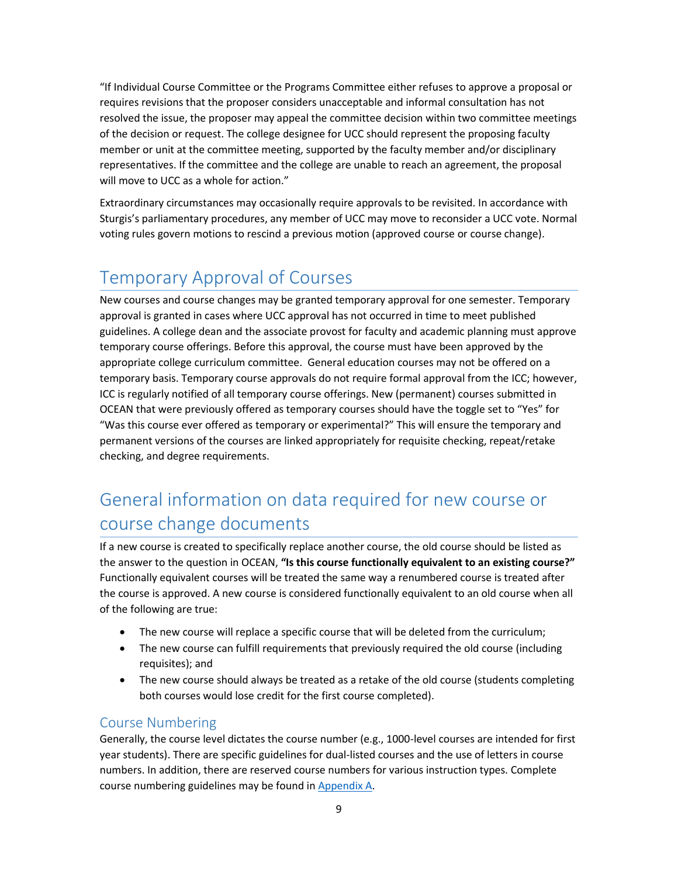"If Individual Course Committee or the Programs Committee either refuses to approve a proposal or requires revisions that the proposer considers unacceptable and informal consultation has not resolved the issue, the proposer may appeal the committee decision within two committee meetings of the decision or request. The college designee for UCC should represent the proposing faculty member or unit at the committee meeting, supported by the faculty member and/or disciplinary representatives. If the committee and the college are unable to reach an agreement, the proposal will move to UCC as a whole for action."

Extraordinary circumstances may occasionally require approvals to be revisited. In accordance with Sturgis's parliamentary procedures, any member of UCC may move to reconsider a UCC vote. Normal voting rules govern motions to rescind a previous motion (approved course or course change).

# <span id="page-8-0"></span>Temporary Approval of Courses

New courses and course changes may be granted temporary approval for one semester. Temporary approval is granted in cases where UCC approval has not occurred in time to meet published guidelines. A college dean and the associate provost for faculty and academic planning must approve temporary course offerings. Before this approval, the course must have been approved by the appropriate college curriculum committee. General education courses may not be offered on a temporary basis. Temporary course approvals do not require formal approval from the ICC; however, ICC is regularly notified of all temporary course offerings. New (permanent) courses submitted in OCEAN that were previously offered as temporary courses should have the toggle set to "Yes" for "Was this course ever offered as temporary or experimental?" This will ensure the temporary and permanent versions of the courses are linked appropriately for requisite checking, repeat/retake checking, and degree requirements.

# <span id="page-8-1"></span>General information on data required for new course or course change documents

If a new course is created to specifically replace another course, the old course should be listed as the answer to the question in OCEAN, **"Is this course functionally equivalent to an existing course?"** Functionally equivalent courses will be treated the same way a renumbered course is treated after the course is approved. A new course is considered functionally equivalent to an old course when all of the following are true:

- The new course will replace a specific course that will be deleted from the curriculum;
- The new course can fulfill requirements that previously required the old course (including requisites); and
- The new course should always be treated as a retake of the old course (students completing both courses would lose credit for the first course completed).

## <span id="page-8-2"></span>Course Numbering

Generally, the course level dictates the course number (e.g., 1000-level courses are intended for first year students). There are specific guidelines for dual-listed courses and the use of letters in course numbers. In addition, there are reserved course numbers for various instruction types. Complete course numbering guidelines may be found i[n Appendix A.](#page-18-0)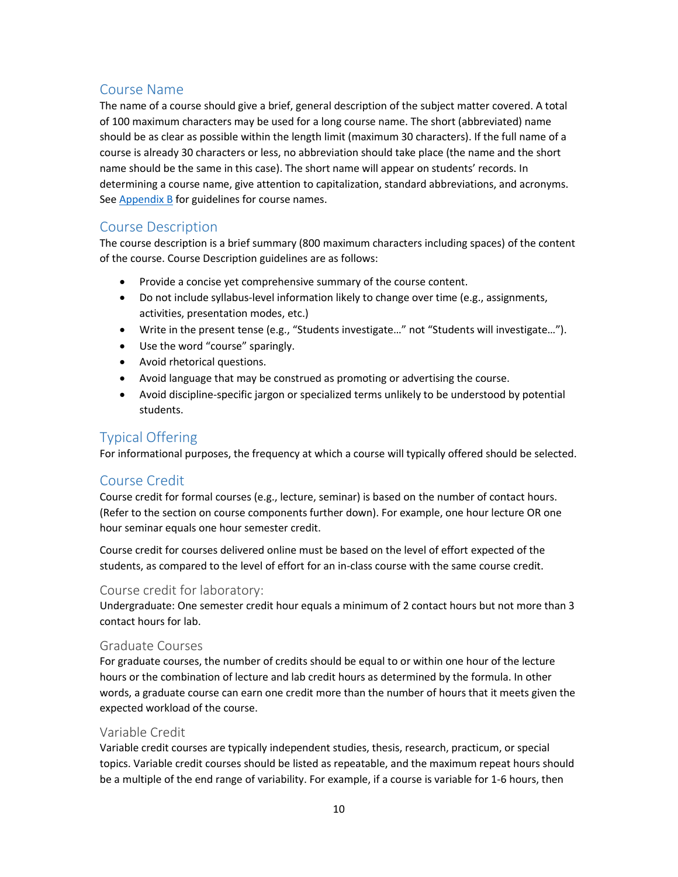## <span id="page-9-0"></span>Course Name

The name of a course should give a brief, general description of the subject matter covered. A total of 100 maximum characters may be used for a long course name. The short (abbreviated) name should be as clear as possible within the length limit (maximum 30 characters). If the full name of a course is already 30 characters or less, no abbreviation should take place (the name and the short name should be the same in this case). The short name will appear on students' records. In determining a course name, give attention to capitalization, standard abbreviations, and acronyms. See  $\Delta$ ppendix  $\Delta$  for guidelines for course names.

## <span id="page-9-1"></span>Course Description

The course description is a brief summary (800 maximum characters including spaces) of the content of the course. Course Description guidelines are as follows:

- Provide a concise yet comprehensive summary of the course content.
- Do not include syllabus-level information likely to change over time (e.g., assignments, activities, presentation modes, etc.)
- Write in the present tense (e.g., "Students investigate…" not "Students will investigate…").
- Use the word "course" sparingly.
- Avoid rhetorical questions.
- Avoid language that may be construed as promoting or advertising the course.
- Avoid discipline-specific jargon or specialized terms unlikely to be understood by potential students.

## <span id="page-9-2"></span>Typical Offering

For informational purposes, the frequency at which a course will typically offered should be selected.

## <span id="page-9-3"></span>Course Credit

Course credit for formal courses (e.g., lecture, seminar) is based on the number of contact hours. (Refer to the section on course components further down). For example, one hour lecture OR one hour seminar equals one hour semester credit.

Course credit for courses delivered online must be based on the level of effort expected of the students, as compared to the level of effort for an in-class course with the same course credit.

### <span id="page-9-4"></span>Course credit for laboratory:

Undergraduate: One semester credit hour equals a minimum of 2 contact hours but not more than 3 contact hours for lab.

### <span id="page-9-5"></span>Graduate Courses

For graduate courses, the number of credits should be equal to or within one hour of the lecture hours or the combination of lecture and lab credit hours as determined by the formula. In other words, a graduate course can earn one credit more than the number of hours that it meets given the expected workload of the course.

### <span id="page-9-6"></span>Variable Credit

Variable credit courses are typically independent studies, thesis, research, practicum, or special topics. Variable credit courses should be listed as repeatable, and the maximum repeat hours should be a multiple of the end range of variability. For example, if a course is variable for 1-6 hours, then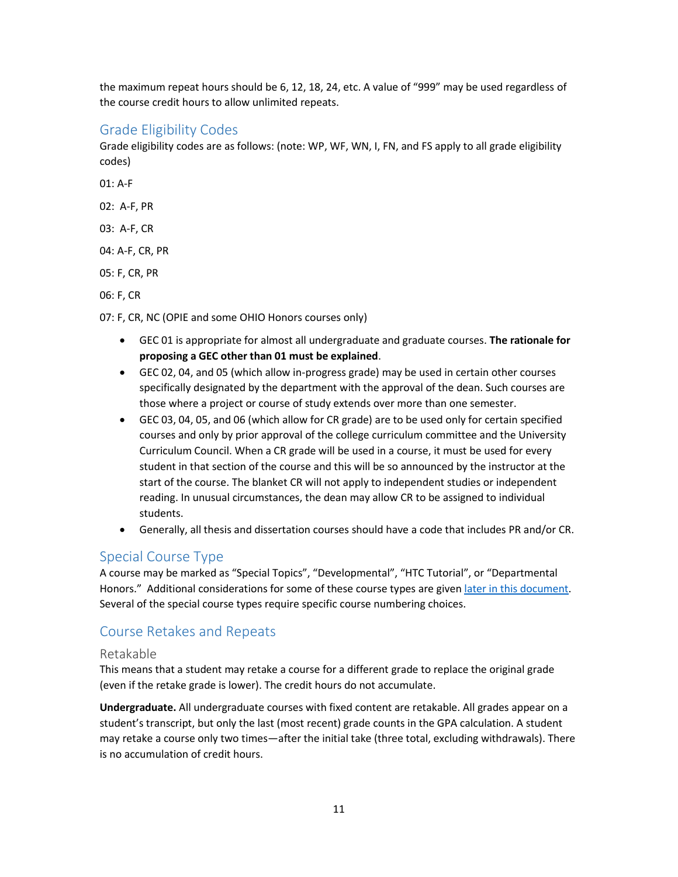the maximum repeat hours should be 6, 12, 18, 24, etc. A value of "999" may be used regardless of the course credit hours to allow unlimited repeats.

### <span id="page-10-0"></span>Grade Eligibility Codes

Grade eligibility codes are as follows: (note: WP, WF, WN, I, FN, and FS apply to all grade eligibility codes)

01: A-F

02: A-F, PR

03: A-F, CR

04: A-F, CR, PR

05: F, CR, PR

06: F, CR

07: F, CR, NC (OPIE and some OHIO Honors courses only)

- GEC 01 is appropriate for almost all undergraduate and graduate courses. **The rationale for proposing a GEC other than 01 must be explained**.
- GEC 02, 04, and 05 (which allow in-progress grade) may be used in certain other courses specifically designated by the department with the approval of the dean. Such courses are those where a project or course of study extends over more than one semester.
- GEC 03, 04, 05, and 06 (which allow for CR grade) are to be used only for certain specified courses and only by prior approval of the college curriculum committee and the University Curriculum Council. When a CR grade will be used in a course, it must be used for every student in that section of the course and this will be so announced by the instructor at the start of the course. The blanket CR will not apply to independent studies or independent reading. In unusual circumstances, the dean may allow CR to be assigned to individual students.
- Generally, all thesis and dissertation courses should have a code that includes PR and/or CR.

## <span id="page-10-1"></span>Special Course Type

A course may be marked as "Special Topics", "Developmental", "HTC Tutorial", or "Departmental Honors." Additional considerations for some of these course types are give[n later in this document.](#page-15-1) Several of the special course types require specific course numbering choices.

## <span id="page-10-2"></span>Course Retakes and Repeats

#### <span id="page-10-3"></span>Retakable

This means that a student may retake a course for a different grade to replace the original grade (even if the retake grade is lower). The credit hours do not accumulate.

**Undergraduate.** All undergraduate courses with fixed content are retakable. All grades appear on a student's transcript, but only the last (most recent) grade counts in the GPA calculation. A student may retake a course only two times—after the initial take (three total, excluding withdrawals). There is no accumulation of credit hours.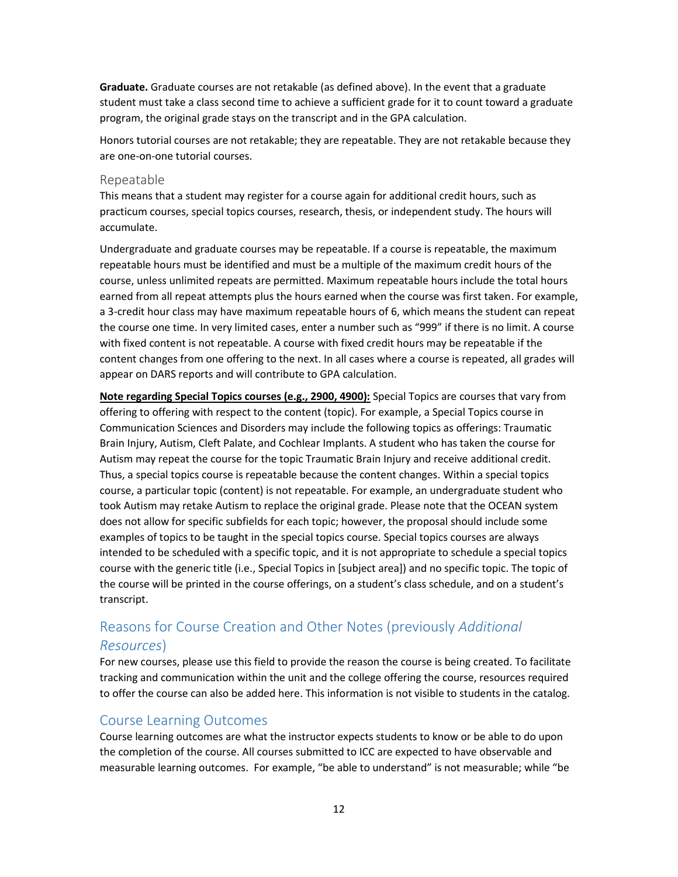**Graduate.** Graduate courses are not retakable (as defined above). In the event that a graduate student must take a class second time to achieve a sufficient grade for it to count toward a graduate program, the original grade stays on the transcript and in the GPA calculation.

Honors tutorial courses are not retakable; they are repeatable. They are not retakable because they are one-on-one tutorial courses.

#### <span id="page-11-0"></span>Repeatable

This means that a student may register for a course again for additional credit hours, such as practicum courses, special topics courses, research, thesis, or independent study. The hours will accumulate.

Undergraduate and graduate courses may be repeatable. If a course is repeatable, the maximum repeatable hours must be identified and must be a multiple of the maximum credit hours of the course, unless unlimited repeats are permitted. Maximum repeatable hours include the total hours earned from all repeat attempts plus the hours earned when the course was first taken. For example, a 3-credit hour class may have maximum repeatable hours of 6, which means the student can repeat the course one time. In very limited cases, enter a number such as "999" if there is no limit. A course with fixed content is not repeatable. A course with fixed credit hours may be repeatable if the content changes from one offering to the next. In all cases where a course is repeated, all grades will appear on DARS reports and will contribute to GPA calculation.

**Note regarding Special Topics courses (e.g., 2900, 4900):** Special Topics are courses that vary from offering to offering with respect to the content (topic). For example, a Special Topics course in Communication Sciences and Disorders may include the following topics as offerings: Traumatic Brain Injury, Autism, Cleft Palate, and Cochlear Implants. A student who has taken the course for Autism may repeat the course for the topic Traumatic Brain Injury and receive additional credit. Thus, a special topics course is repeatable because the content changes. Within a special topics course, a particular topic (content) is not repeatable. For example, an undergraduate student who took Autism may retake Autism to replace the original grade. Please note that the OCEAN system does not allow for specific subfields for each topic; however, the proposal should include some examples of topics to be taught in the special topics course. Special topics courses are always intended to be scheduled with a specific topic, and it is not appropriate to schedule a special topics course with the generic title (i.e., Special Topics in [subject area]) and no specific topic. The topic of the course will be printed in the course offerings, on a student's class schedule, and on a student's transcript.

# <span id="page-11-1"></span>Reasons for Course Creation and Other Notes (previously *Additional Resources*)

For new courses, please use this field to provide the reason the course is being created. To facilitate tracking and communication within the unit and the college offering the course, resources required to offer the course can also be added here. This information is not visible to students in the catalog.

### <span id="page-11-2"></span>Course Learning Outcomes

Course learning outcomes are what the instructor expects students to know or be able to do upon the completion of the course. All courses submitted to ICC are expected to have observable and measurable learning outcomes. For example, "be able to understand" is not measurable; while "be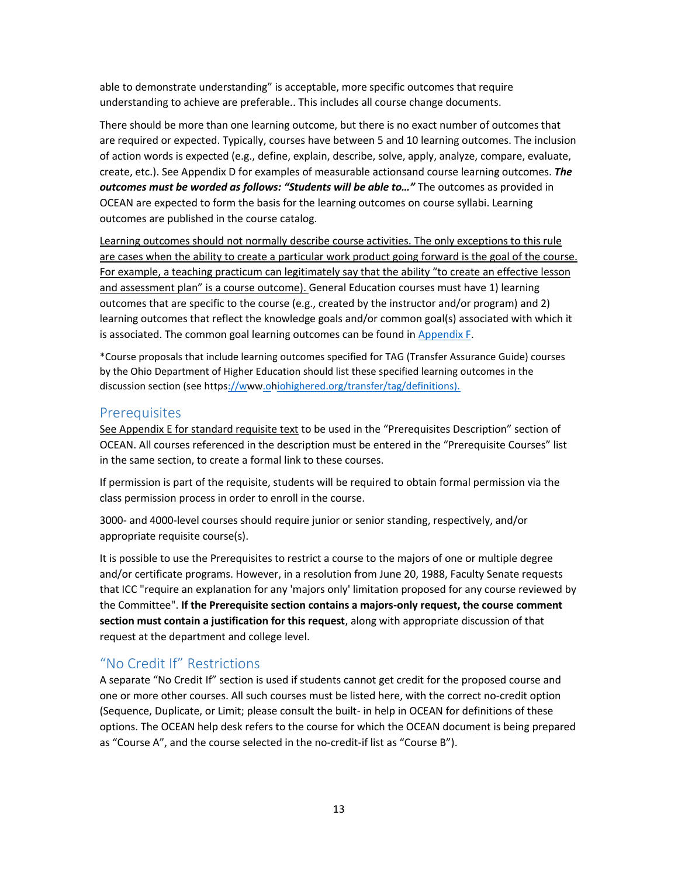able to demonstrate understanding" is acceptable, more specific outcomes that require understanding to achieve are preferable.. This includes all course change documents.

There should be more than one learning outcome, but there is no exact number of outcomes that are required or expected. Typically, courses have between 5 and 10 learning outcomes. The inclusion of action words is expected (e.g., define, explain, describe, solve, apply, analyze, compare, evaluate, create, etc.). See Appendix D for examples of measurable actionsand course learning outcomes. *The outcomes must be worded as follows: "Students will be able to…"* The outcomes as provided in OCEAN are expected to form the basis for the learning outcomes on course syllabi. Learning outcomes are published in the course catalog.

Learning outcomes should not normally describe course activities. The only exceptions to this rule are cases when the ability to create a particular work product going forward is the goal of the course. For example, a teaching practicum can legitimately say that the ability "to create an effective lesson and assessment plan" is a course outcome). General Education courses must have 1) learning outcomes that are specific to the course (e.g., created by the instructor and/or program) and 2) learning outcomes that reflect the knowledge goals and/or common goal(s) associated with which it is associated. The common goal learning outcomes can be found i[n Appendix F.](#page-31-0)

\*Course proposals that include learning outcomes specified for TAG (Transfer Assurance Guide) courses by the Ohio Department of Higher Education should list these specified learning outcomes in the discussion section (see http[s://www.ohiohighered.org/transfer/tag/definitions\).](http://www.ohiohighered.org/transfer/tag/definitions))

#### <span id="page-12-0"></span>**Prerequisites**

See Appendix E for standard requisite text to be used in the "Prerequisites Description" section of OCEAN. All courses referenced in the description must be entered in the "Prerequisite Courses" list in the same section, to create a formal link to these courses.

If permission is part of the requisite, students will be required to obtain formal permission via the class permission process in order to enroll in the course.

3000- and 4000-level courses should require junior or senior standing, respectively, and/or appropriate requisite course(s).

It is possible to use the Prerequisites to restrict a course to the majors of one or multiple degree and/or certificate programs. However, in a resolution from June 20, 1988, Faculty Senate requests that ICC "require an explanation for any 'majors only' limitation proposed for any course reviewed by the Committee". **If the Prerequisite section contains a majors-only request, the course comment section must contain a justification for this request**, along with appropriate discussion of that request at the department and college level.

## <span id="page-12-1"></span>"No Credit If" Restrictions

A separate "No Credit If" section is used if students cannot get credit for the proposed course and one or more other courses. All such courses must be listed here, with the correct no-credit option (Sequence, Duplicate, or Limit; please consult the built- in help in OCEAN for definitions of these options. The OCEAN help desk refers to the course for which the OCEAN document is being prepared as "Course A", and the course selected in the no-credit-if list as "Course B").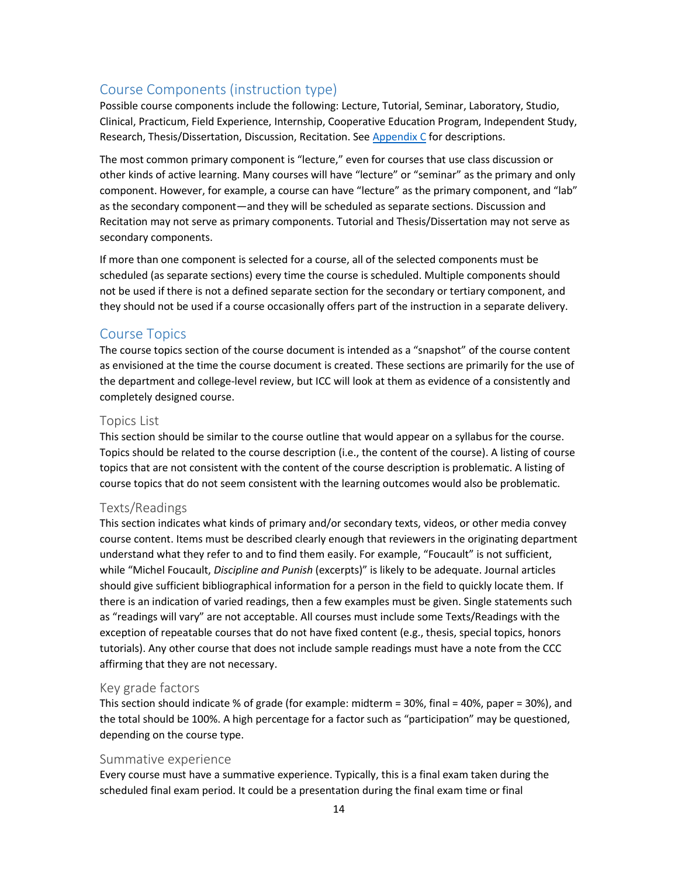## <span id="page-13-0"></span>Course Components (instruction type)

Possible course components include the following: Lecture, Tutorial, Seminar, Laboratory, Studio, Clinical, Practicum, Field Experience, Internship, Cooperative Education Program, Independent Study, Research, Thesis/Dissertation, Discussion, Recitation. See [Appendix C](#page-25-0) for descriptions.

The most common primary component is "lecture," even for courses that use class discussion or other kinds of active learning. Many courses will have "lecture" or "seminar" as the primary and only component. However, for example, a course can have "lecture" as the primary component, and "lab" as the secondary component—and they will be scheduled as separate sections. Discussion and Recitation may not serve as primary components. Tutorial and Thesis/Dissertation may not serve as secondary components.

If more than one component is selected for a course, all of the selected components must be scheduled (as separate sections) every time the course is scheduled. Multiple components should not be used if there is not a defined separate section for the secondary or tertiary component, and they should not be used if a course occasionally offers part of the instruction in a separate delivery.

#### <span id="page-13-1"></span>Course Topics

The course topics section of the course document is intended as a "snapshot" of the course content as envisioned at the time the course document is created. These sections are primarily for the use of the department and college-level review, but ICC will look at them as evidence of a consistently and completely designed course.

#### <span id="page-13-2"></span>Topics List

This section should be similar to the course outline that would appear on a syllabus for the course. Topics should be related to the course description (i.e., the content of the course). A listing of course topics that are not consistent with the content of the course description is problematic. A listing of course topics that do not seem consistent with the learning outcomes would also be problematic.

#### <span id="page-13-3"></span>Texts/Readings

This section indicates what kinds of primary and/or secondary texts, videos, or other media convey course content. Items must be described clearly enough that reviewers in the originating department understand what they refer to and to find them easily. For example, "Foucault" is not sufficient, while "Michel Foucault, *Discipline and Punish* (excerpts)" is likely to be adequate. Journal articles should give sufficient bibliographical information for a person in the field to quickly locate them. If there is an indication of varied readings, then a few examples must be given. Single statements such as "readings will vary" are not acceptable. All courses must include some Texts/Readings with the exception of repeatable courses that do not have fixed content (e.g., thesis, special topics, honors tutorials). Any other course that does not include sample readings must have a note from the CCC affirming that they are not necessary.

#### <span id="page-13-4"></span>Key grade factors

This section should indicate % of grade (for example: midterm = 30%, final = 40%, paper = 30%), and the total should be 100%. A high percentage for a factor such as "participation" may be questioned, depending on the course type.

#### <span id="page-13-5"></span>Summative experience

Every course must have a summative experience. Typically, this is a final exam taken during the scheduled final exam period. It could be a presentation during the final exam time or final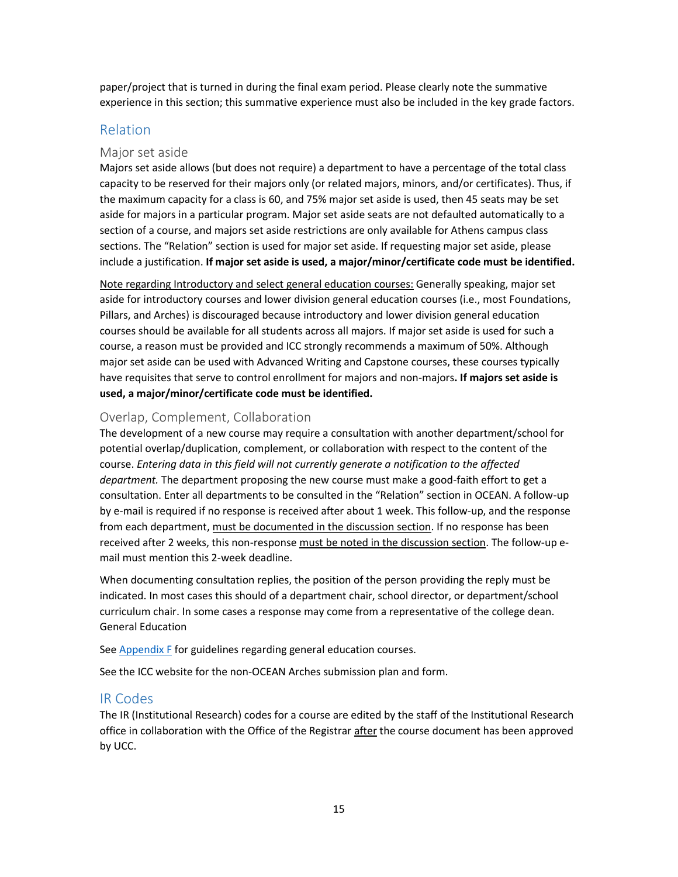paper/project that is turned in during the final exam period. Please clearly note the summative experience in this section; this summative experience must also be included in the key grade factors.

## <span id="page-14-0"></span>Relation

### <span id="page-14-1"></span>Major set aside

Majors set aside allows (but does not require) a department to have a percentage of the total class capacity to be reserved for their majors only (or related majors, minors, and/or certificates). Thus, if the maximum capacity for a class is 60, and 75% major set aside is used, then 45 seats may be set aside for majors in a particular program. Major set aside seats are not defaulted automatically to a section of a course, and majors set aside restrictions are only available for Athens campus class sections. The "Relation" section is used for major set aside. If requesting major set aside, please include a justification. **If major set aside is used, a major/minor/certificate code must be identified.**

Note regarding Introductory and select general education courses: Generally speaking, major set aside for introductory courses and lower division general education courses (i.e., most Foundations, Pillars, and Arches) is discouraged because introductory and lower division general education courses should be available for all students across all majors. If major set aside is used for such a course, a reason must be provided and ICC strongly recommends a maximum of 50%. Although major set aside can be used with Advanced Writing and Capstone courses, these courses typically have requisites that serve to control enrollment for majors and non-majors**. If majors set aside is used, a major/minor/certificate code must be identified.**

## <span id="page-14-2"></span>Overlap, Complement, Collaboration

The development of a new course may require a consultation with another department/school for potential overlap/duplication, complement, or collaboration with respect to the content of the course. *Entering data in this field will not currently generate a notification to the affected department.* The department proposing the new course must make a good-faith effort to get a consultation. Enter all departments to be consulted in the "Relation" section in OCEAN. A follow-up by e-mail is required if no response is received after about 1 week. This follow-up, and the response from each department, must be documented in the discussion section. If no response has been received after 2 weeks, this non-response must be noted in the discussion section. The follow-up email must mention this 2-week deadline.

When documenting consultation replies, the position of the person providing the reply must be indicated. In most cases this should of a department chair, school director, or department/school curriculum chair. In some cases a response may come from a representative of the college dean. General Education

See **Appendix F** for guidelines regarding general education courses.

See the ICC website for the non-OCEAN Arches submission plan and form.

## <span id="page-14-3"></span>IR Codes

The IR (Institutional Research) codes for a course are edited by the staff of the Institutional Research office in collaboration with the Office of the Registrar after the course document has been approved by UCC.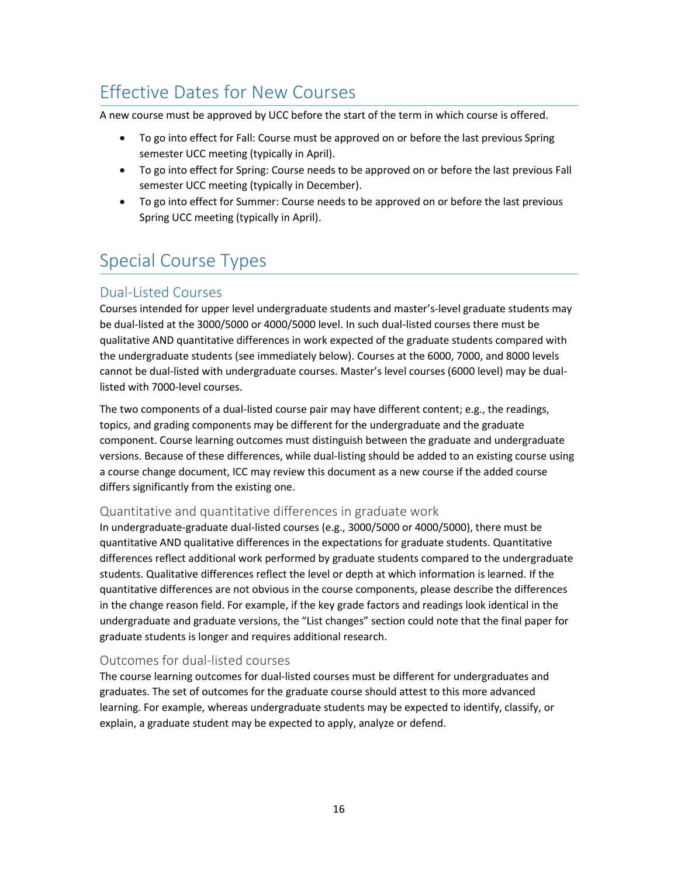# <span id="page-15-0"></span>Effective Dates for New Courses

A new course must be approved by UCC before the start of the term in which course is offered.

- To go into effect for Fall: Course must be approved on or before the last previous Spring semester UCC meeting (typically in April).
- To go into effect for Spring: Course needs to be approved on or before the last previous Fall semester UCC meeting (typically in December).
- To go into effect for Summer: Course needs to be approved on or before the last previous Spring UCC meeting (typically in April).

# <span id="page-15-1"></span>Special Course Types

# <span id="page-15-2"></span>Dual-Listed Courses

Courses intended for upper level undergraduate students and master's-level graduate students may be dual-listed at the 3000/5000 or 4000/5000 level. In such dual-listed courses there must be qualitative AND quantitative differences in work expected of the graduate students compared with the undergraduate students (see immediately below). Courses at the 6000, 7000, and 8000 levels cannot be dual-listed with undergraduate courses. Master's level courses (6000 level) may be duallisted with 7000-level courses.

The two components of a dual-listed course pair may have different content; e.g., the readings, topics, and grading components may be different for the undergraduate and the graduate component. Course learning outcomes must distinguish between the graduate and undergraduate versions. Because of these differences, while dual-listing should be added to an existing course using a course change document, ICC may review this document as a new course if the added course differs significantly from the existing one.

### <span id="page-15-3"></span>Quantitative and quantitative differences in graduate work

In undergraduate-graduate dual-listed courses (e.g., 3000/5000 or 4000/5000), there must be quantitative AND qualitative differences in the expectations for graduate students. Quantitative differences reflect additional work performed by graduate students compared to the undergraduate students. Qualitative differences reflect the level or depth at which information is learned. If the quantitative differences are not obvious in the course components, please describe the differences in the change reason field. For example, if the key grade factors and readings look identical in the undergraduate and graduate versions, the "List changes" section could note that the final paper for graduate students is longer and requires additional research.

## <span id="page-15-4"></span>Outcomes for dual-listed courses

The course learning outcomes for dual-listed courses must be different for undergraduates and graduates. The set of outcomes for the graduate course should attest to this more advanced learning. For example, whereas undergraduate students may be expected to identify, classify, or explain, a graduate student may be expected to apply, analyze or defend.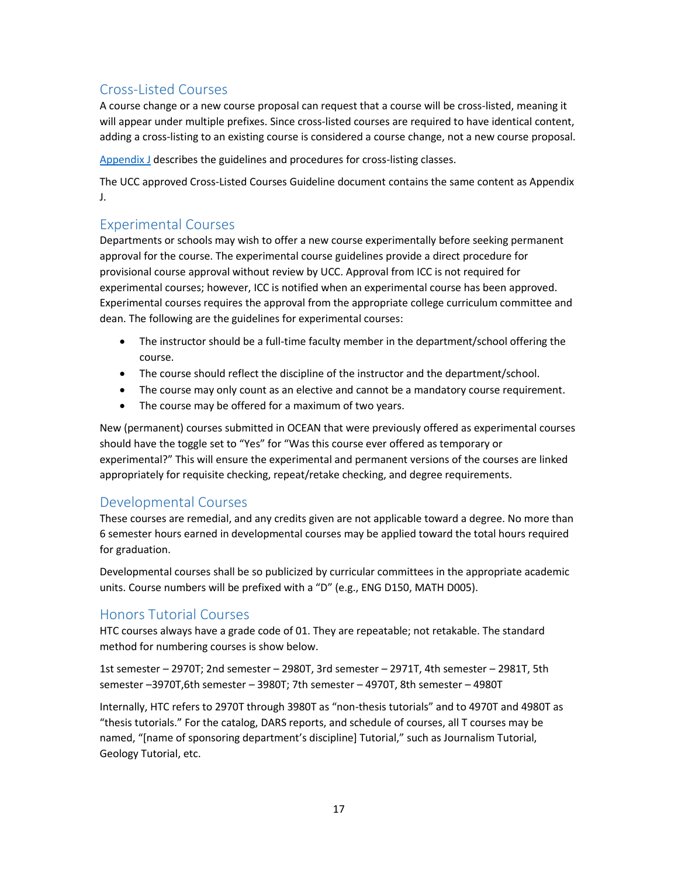# <span id="page-16-0"></span>Cross-Listed Courses

A course change or a new course proposal can request that a course will be cross-listed, meaning it will appear under multiple prefixes. Since cross-listed courses are required to have identical content, adding a cross-listing to an existing course is considered a course change, not a new course proposal.

[Appendix J](#page-43-0) describes the guidelines and procedures for cross-listing classes.

The UCC approved Cross-Listed Courses Guideline document contains the same content as Appendix J.

## <span id="page-16-1"></span>Experimental Courses

Departments or schools may wish to offer a new course experimentally before seeking permanent approval for the course. The experimental course guidelines provide a direct procedure for provisional course approval without review by UCC. Approval from ICC is not required for experimental courses; however, ICC is notified when an experimental course has been approved. Experimental courses requires the approval from the appropriate college curriculum committee and dean. The following are the guidelines for experimental courses:

- The instructor should be a full-time faculty member in the department/school offering the course.
- The course should reflect the discipline of the instructor and the department/school.
- The course may only count as an elective and cannot be a mandatory course requirement.
- The course may be offered for a maximum of two years.

New (permanent) courses submitted in OCEAN that were previously offered as experimental courses should have the toggle set to "Yes" for "Was this course ever offered as temporary or experimental?" This will ensure the experimental and permanent versions of the courses are linked appropriately for requisite checking, repeat/retake checking, and degree requirements.

# <span id="page-16-2"></span>Developmental Courses

These courses are remedial, and any credits given are not applicable toward a degree. No more than 6 semester hours earned in developmental courses may be applied toward the total hours required for graduation.

Developmental courses shall be so publicized by curricular committees in the appropriate academic units. Course numbers will be prefixed with a "D" (e.g., ENG D150, MATH D005).

# <span id="page-16-3"></span>Honors Tutorial Courses

HTC courses always have a grade code of 01. They are repeatable; not retakable. The standard method for numbering courses is show below.

1st semester – 2970T; 2nd semester – 2980T, 3rd semester – 2971T, 4th semester – 2981T, 5th semester –3970T,6th semester – 3980T; 7th semester – 4970T, 8th semester – 4980T

Internally, HTC refers to 2970T through 3980T as "non-thesis tutorials" and to 4970T and 4980T as "thesis tutorials." For the catalog, DARS reports, and schedule of courses, all T courses may be named, "[name of sponsoring department's discipline] Tutorial," such as Journalism Tutorial, Geology Tutorial, etc.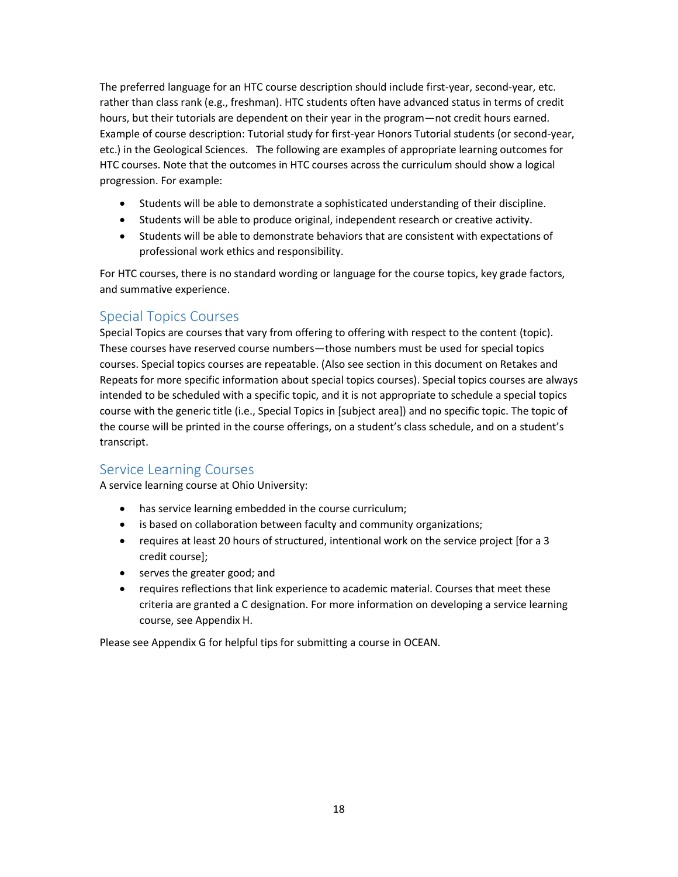The preferred language for an HTC course description should include first-year, second-year, etc. rather than class rank (e.g., freshman). HTC students often have advanced status in terms of credit hours, but their tutorials are dependent on their year in the program—not credit hours earned. Example of course description: Tutorial study for first-year Honors Tutorial students (or second-year, etc.) in the Geological Sciences. The following are examples of appropriate learning outcomes for HTC courses. Note that the outcomes in HTC courses across the curriculum should show a logical progression. For example:

- Students will be able to demonstrate a sophisticated understanding of their discipline.
- Students will be able to produce original, independent research or creative activity.
- Students will be able to demonstrate behaviors that are consistent with expectations of professional work ethics and responsibility.

For HTC courses, there is no standard wording or language for the course topics, key grade factors, and summative experience.

## <span id="page-17-0"></span>Special Topics Courses

Special Topics are courses that vary from offering to offering with respect to the content (topic). These courses have reserved course numbers—those numbers must be used for special topics courses. Special topics courses are repeatable. (Also see section in this document on Retakes and Repeats for more specific information about special topics courses). Special topics courses are always intended to be scheduled with a specific topic, and it is not appropriate to schedule a special topics course with the generic title (i.e., Special Topics in [subject area]) and no specific topic. The topic of the course will be printed in the course offerings, on a student's class schedule, and on a student's transcript.

# <span id="page-17-1"></span>Service Learning Courses

A service learning course at Ohio University:

- has service learning embedded in the course curriculum;
- is based on collaboration between faculty and community organizations;
- requires at least 20 hours of structured, intentional work on the service project [for a 3 credit course];
- serves the greater good; and
- requires reflections that link experience to academic material. Courses that meet these criteria are granted a C designation. For more information on developing a service learning course, see Appendix H.

Please see Appendix G for helpful tips for submitting a course in OCEAN.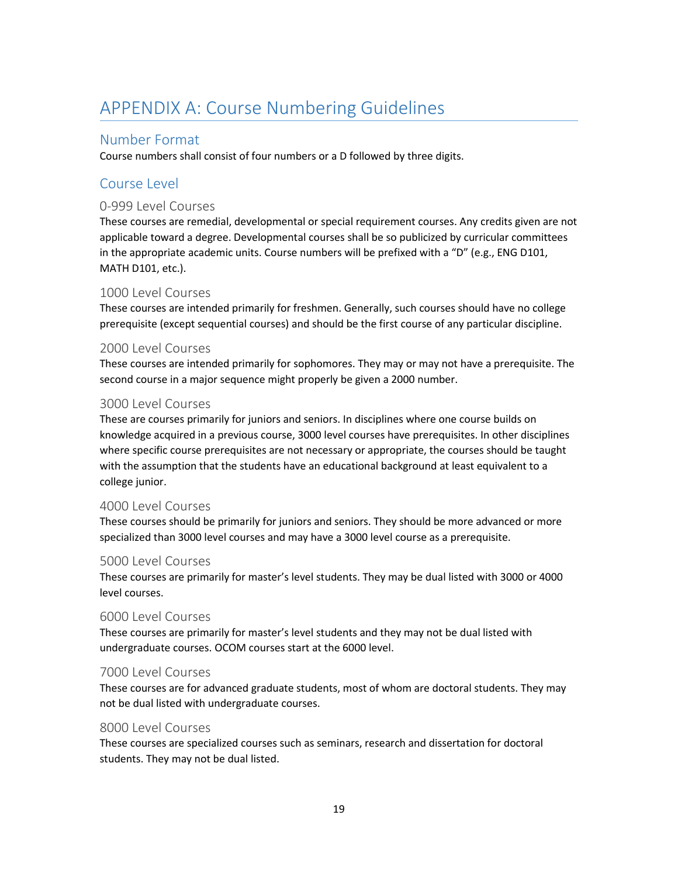# <span id="page-18-0"></span>APPENDIX A: Course Numbering Guidelines

## <span id="page-18-1"></span>Number Format

Course numbers shall consist of four numbers or a D followed by three digits.

## <span id="page-18-2"></span>Course Level

## <span id="page-18-3"></span>0-999 Level Courses

These courses are remedial, developmental or special requirement courses. Any credits given are not applicable toward a degree. Developmental courses shall be so publicized by curricular committees in the appropriate academic units. Course numbers will be prefixed with a "D" (e.g., ENG D101, MATH D101, etc.).

### <span id="page-18-4"></span>1000 Level Courses

These courses are intended primarily for freshmen. Generally, such courses should have no college prerequisite (except sequential courses) and should be the first course of any particular discipline.

### <span id="page-18-5"></span>2000 Level Courses

These courses are intended primarily for sophomores. They may or may not have a prerequisite. The second course in a major sequence might properly be given a 2000 number.

### <span id="page-18-6"></span>3000 Level Courses

These are courses primarily for juniors and seniors. In disciplines where one course builds on knowledge acquired in a previous course, 3000 level courses have prerequisites. In other disciplines where specific course prerequisites are not necessary or appropriate, the courses should be taught with the assumption that the students have an educational background at least equivalent to a college junior.

#### <span id="page-18-7"></span>4000 Level Courses

These courses should be primarily for juniors and seniors. They should be more advanced or more specialized than 3000 level courses and may have a 3000 level course as a prerequisite.

### <span id="page-18-8"></span>5000 Level Courses

These courses are primarily for master's level students. They may be dual listed with 3000 or 4000 level courses.

#### <span id="page-18-9"></span>6000 Level Courses

These courses are primarily for master's level students and they may not be dual listed with undergraduate courses. OCOM courses start at the 6000 level.

#### <span id="page-18-10"></span>7000 Level Courses

These courses are for advanced graduate students, most of whom are doctoral students. They may not be dual listed with undergraduate courses.

#### <span id="page-18-11"></span>8000 Level Courses

These courses are specialized courses such as seminars, research and dissertation for doctoral students. They may not be dual listed.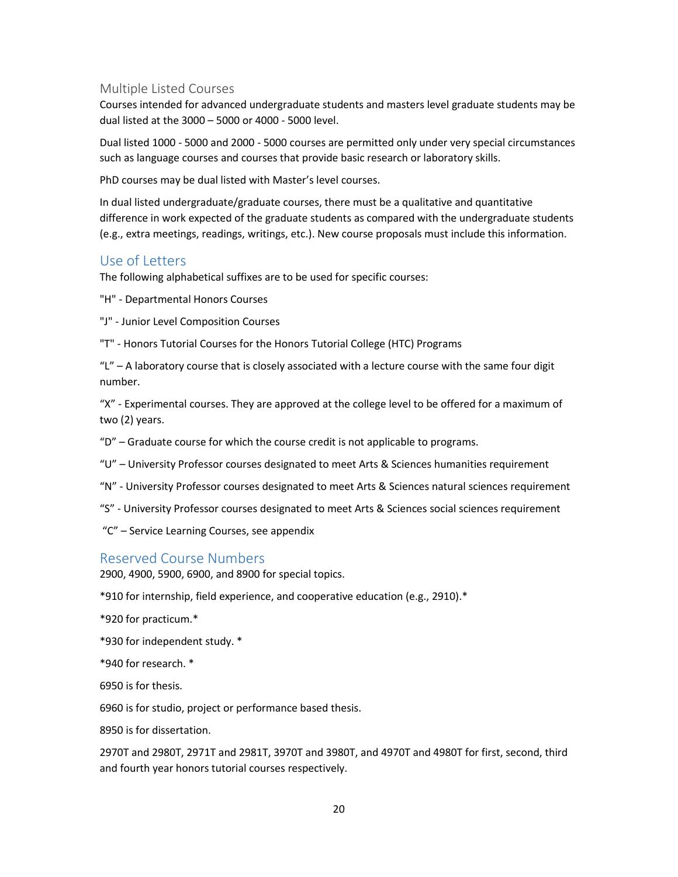#### <span id="page-19-0"></span>Multiple Listed Courses

Courses intended for advanced undergraduate students and masters level graduate students may be dual listed at the 3000 – 5000 or 4000 - 5000 level.

Dual listed 1000 - 5000 and 2000 - 5000 courses are permitted only under very special circumstances such as language courses and courses that provide basic research or laboratory skills.

PhD courses may be dual listed with Master's level courses.

In dual listed undergraduate/graduate courses, there must be a qualitative and quantitative difference in work expected of the graduate students as compared with the undergraduate students (e.g., extra meetings, readings, writings, etc.). New course proposals must include this information.

## <span id="page-19-1"></span>Use of Letters

The following alphabetical suffixes are to be used for specific courses:

"H" - Departmental Honors Courses

- "J" Junior Level Composition Courses
- "T" Honors Tutorial Courses for the Honors Tutorial College (HTC) Programs

" $L$ " – A laboratory course that is closely associated with a lecture course with the same four digit number.

"X" - Experimental courses. They are approved at the college level to be offered for a maximum of two (2) years.

"D" – Graduate course for which the course credit is not applicable to programs.

- "U" University Professor courses designated to meet Arts & Sciences humanities requirement
- "N" University Professor courses designated to meet Arts & Sciences natural sciences requirement
- "S" University Professor courses designated to meet Arts & Sciences social sciences requirement
- "C" Service Learning Courses, see appendix

### <span id="page-19-2"></span>Reserved Course Numbers

2900, 4900, 5900, 6900, and 8900 for special topics.

\*910 for internship, field experience, and cooperative education (e.g., 2910).\*

\*920 for practicum.\*

\*930 for independent study. \*

\*940 for research. \*

6950 is for thesis.

6960 is for studio, project or performance based thesis.

8950 is for dissertation.

2970T and 2980T, 2971T and 2981T, 3970T and 3980T, and 4970T and 4980T for first, second, third and fourth year honors tutorial courses respectively.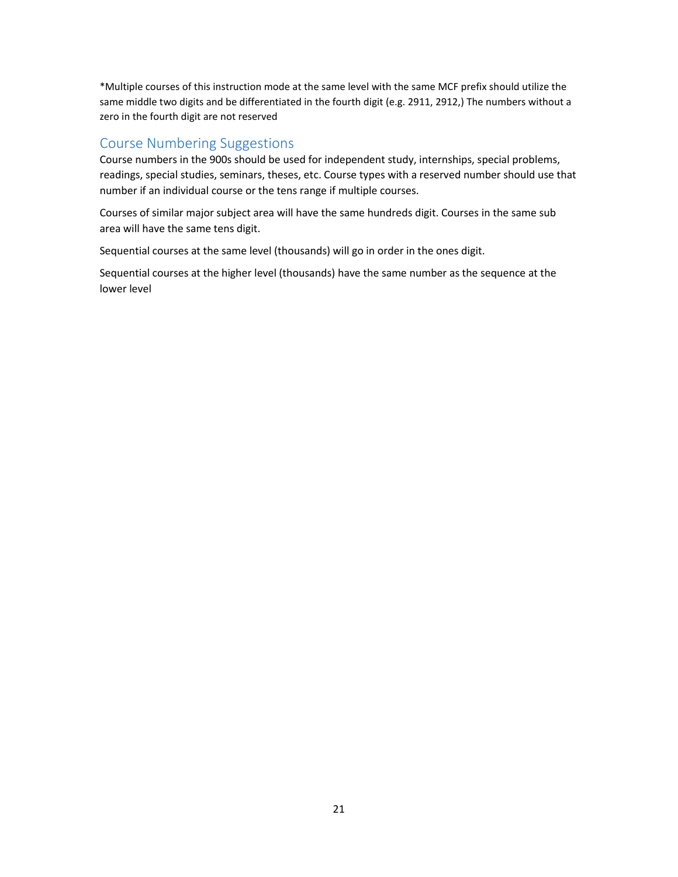\*Multiple courses of this instruction mode at the same level with the same MCF prefix should utilize the same middle two digits and be differentiated in the fourth digit (e.g. 2911, 2912,) The numbers without a zero in the fourth digit are not reserved

### <span id="page-20-0"></span>Course Numbering Suggestions

Course numbers in the 900s should be used for independent study, internships, special problems, readings, special studies, seminars, theses, etc. Course types with a reserved number should use that number if an individual course or the tens range if multiple courses.

Courses of similar major subject area will have the same hundreds digit. Courses in the same sub area will have the same tens digit.

Sequential courses at the same level (thousands) will go in order in the ones digit.

Sequential courses at the higher level (thousands) have the same number as the sequence at the lower level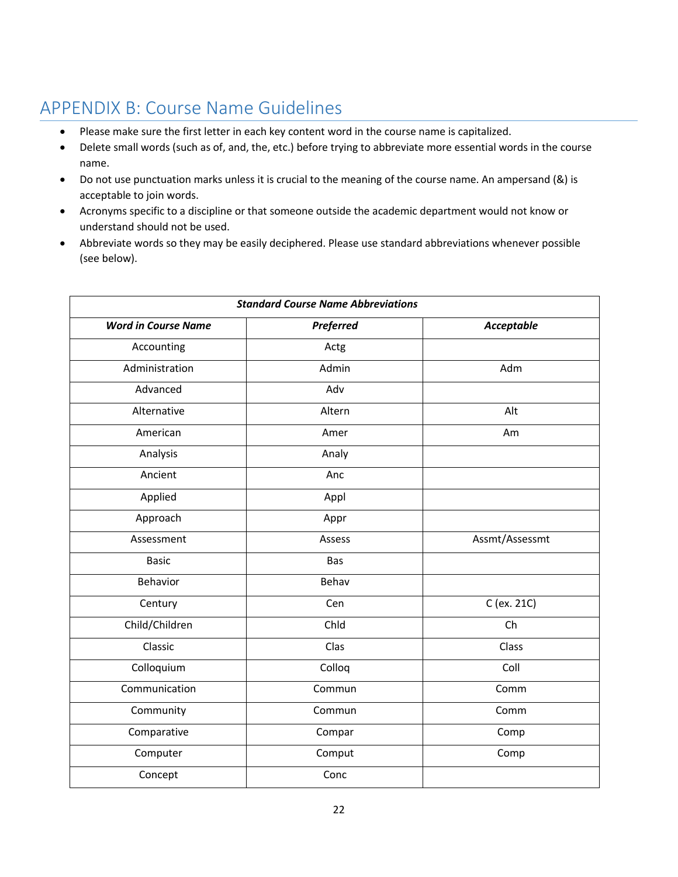# <span id="page-21-0"></span>APPENDIX B: Course Name Guidelines

- Please make sure the first letter in each key content word in the course name is capitalized.
- Delete small words (such as of, and, the, etc.) before trying to abbreviate more essential words in the course name.
- Do not use punctuation marks unless it is crucial to the meaning of the course name. An ampersand (&) is acceptable to join words.
- Acronyms specific to a discipline or that someone outside the academic department would not know or understand should not be used.
- Abbreviate words so they may be easily deciphered. Please use standard abbreviations whenever possible (see below).

| <b>Standard Course Name Abbreviations</b> |           |                   |  |
|-------------------------------------------|-----------|-------------------|--|
| <b>Word in Course Name</b>                | Preferred | <b>Acceptable</b> |  |
| Accounting                                | Actg      |                   |  |
| Administration                            | Admin     | Adm               |  |
| Advanced                                  | Adv       |                   |  |
| Alternative                               | Altern    | Alt               |  |
| American                                  | Amer      | Am                |  |
| Analysis                                  | Analy     |                   |  |
| Ancient                                   | Anc       |                   |  |
| Applied                                   | Appl      |                   |  |
| Approach                                  | Appr      |                   |  |
| Assessment                                | Assess    | Assmt/Assessmt    |  |
| <b>Basic</b>                              | Bas       |                   |  |
| Behavior                                  | Behav     |                   |  |
| Century                                   | Cen       | C (ex. 21C)       |  |
| Child/Children                            | Chld      | Ch                |  |
| Classic                                   | Clas      | Class             |  |
| Colloquium                                | Colloq    | Coll              |  |
| Communication                             | Commun    | Comm              |  |
| Community                                 | Commun    | Comm              |  |
| Comparative                               | Compar    | Comp              |  |
| Computer                                  | Comput    | Comp              |  |
| Concept                                   | Conc      |                   |  |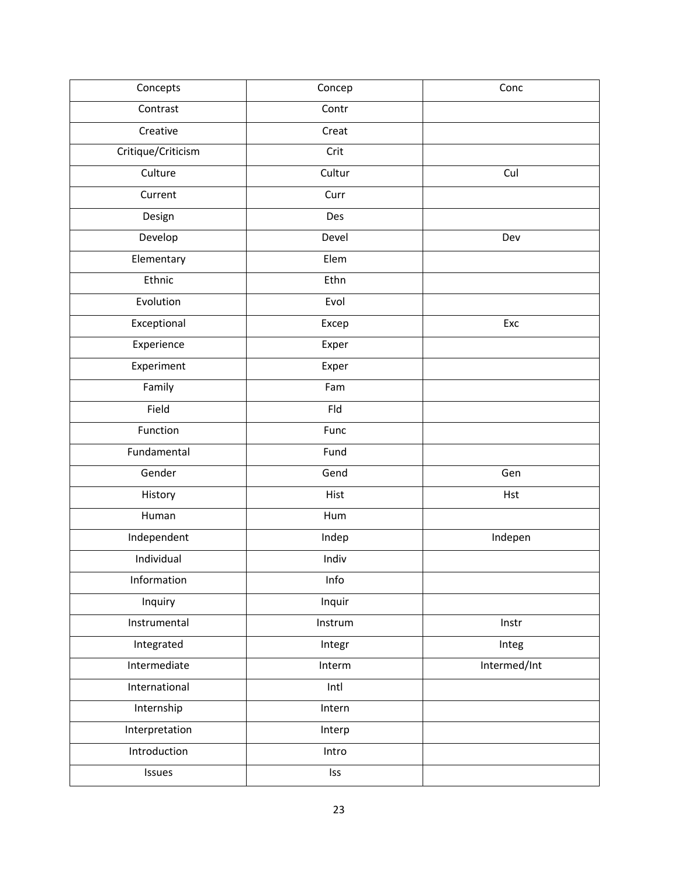| Concepts           | Concep  | Conc         |
|--------------------|---------|--------------|
| Contrast           | Contr   |              |
| Creative           | Creat   |              |
| Critique/Criticism | Crit    |              |
| Culture            | Cultur  | Cul          |
| Current            | Curr    |              |
| Design             | Des     |              |
| Develop            | Devel   | Dev          |
| Elementary         | Elem    |              |
| Ethnic             | Ethn    |              |
| Evolution          | Evol    |              |
| Exceptional        | Excep   | Exc          |
| Experience         | Exper   |              |
| Experiment         | Exper   |              |
| Family             | Fam     |              |
| Field              | Fld     |              |
| Function           | Func    |              |
| Fundamental        | Fund    |              |
| Gender             | Gend    | Gen          |
| History            | Hist    | Hst          |
| Human              | Hum     |              |
| Independent        | Indep   | Indepen      |
| Individual         | Indiv   |              |
| Information        | Info    |              |
| Inquiry            | Inquir  |              |
| Instrumental       | Instrum | Instr        |
| Integrated         | Integr  | Integ        |
| Intermediate       | Interm  | Intermed/Int |
| International      | Intl    |              |
| Internship         | Intern  |              |
| Interpretation     | Interp  |              |
| Introduction       | Intro   |              |
| Issues             | Iss     |              |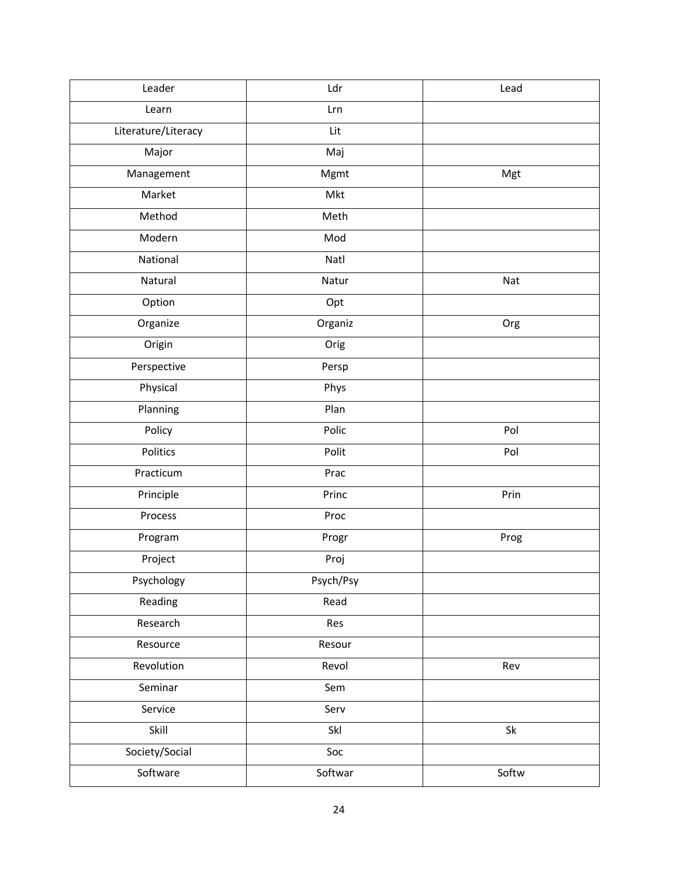| Leader              | Ldr<br>Lead       |       |
|---------------------|-------------------|-------|
| Learn               | Lrn               |       |
| Literature/Literacy | Lit               |       |
| Major               | Maj               |       |
| Management          | Mgmt              | Mgt   |
| Market              | Mkt               |       |
| Method              | Meth              |       |
| Modern              | Mod               |       |
| National            | Natl              |       |
| Natural             | Natur             | Nat   |
| Option              | Opt               |       |
| Organize            | Organiz           | Org   |
| Origin              | Orig              |       |
| Perspective         | Persp             |       |
| Physical            | Phys              |       |
| Planning            | Plan              |       |
| Policy              | Polic             | Pol   |
| Politics            | Polit             | Pol   |
| Practicum           | Prac              |       |
| Principle           | Princ<br>Prin     |       |
| Process             | Proc              |       |
| Program             | Progr             | Prog  |
| Project             | Proj              |       |
| Psychology          | Psych/Psy         |       |
| Reading             | Read              |       |
| Research            | Res               |       |
| Resource            | Resour            |       |
| Revolution          | Revol<br>Rev      |       |
| Seminar             | Sem               |       |
| Service             | Serv              |       |
| Skill               | Skl<br>${\sf Sk}$ |       |
| Society/Social      | Soc               |       |
| Software            | Softwar           | Softw |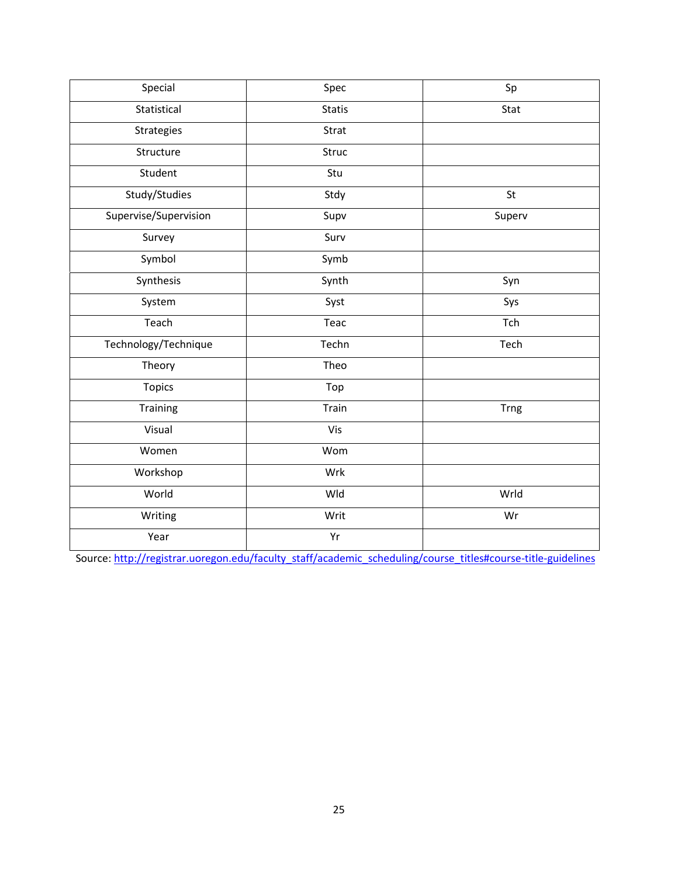| Special               | Spec          | Sp          |
|-----------------------|---------------|-------------|
| Statistical           | <b>Statis</b> | Stat        |
| Strategies            | Strat         |             |
| Structure             | Struc         |             |
| Student               | Stu           |             |
| Study/Studies         | Stdy          | St          |
| Supervise/Supervision | Supv          | Superv      |
| Survey                | Surv          |             |
| Symbol                | Symb          |             |
| Synthesis             | Synth         | Syn         |
| System                | Syst          | Sys         |
| Teach                 | Teac          | Tch         |
| Technology/Technique  | Techn         | Tech        |
| Theory                | Theo          |             |
| <b>Topics</b>         | Top           |             |
| Training              | Train         | <b>Trng</b> |
| Visual                | Vis           |             |
| Women                 | Wom           |             |
| Workshop              | Wrk           |             |
| World                 | Wld           | Wrld        |
| Writing               | Writ          | Wr          |
| Year                  | Yr            |             |

Source: [http://registrar.uoregon.edu/faculty\\_staff/academic\\_scheduling/course\\_titles#course-title-guidelines](http://registrar.uoregon.edu/faculty_staff/academic_scheduling/course_titles)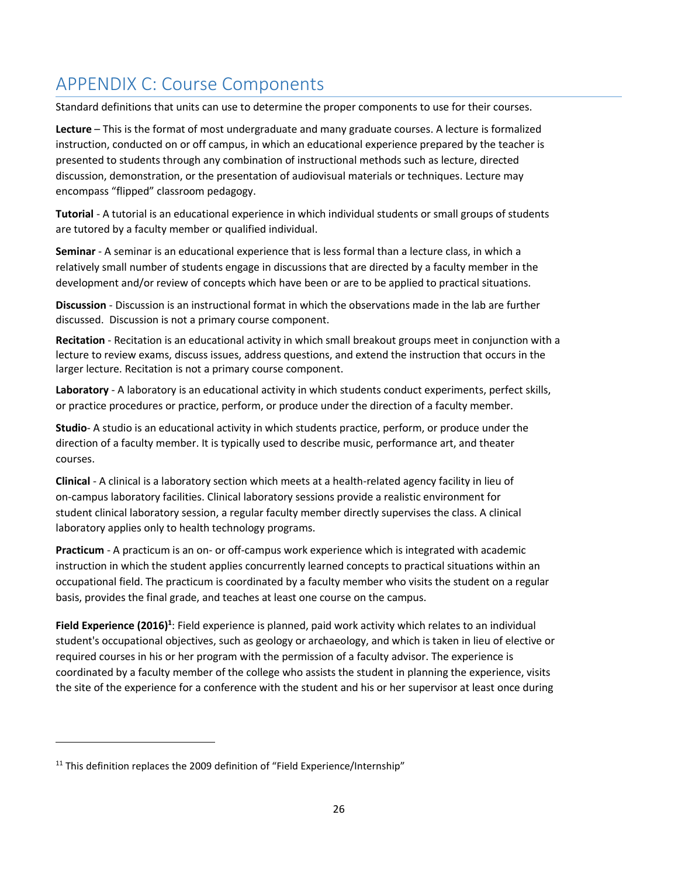# <span id="page-25-0"></span>APPENDIX C: Course Components

Standard definitions that units can use to determine the proper components to use for their courses.

**Lecture** – This is the format of most undergraduate and many graduate courses. A lecture is formalized instruction, conducted on or off campus, in which an educational experience prepared by the teacher is presented to students through any combination of instructional methods such as lecture, directed discussion, demonstration, or the presentation of audiovisual materials or techniques. Lecture may encompass "flipped" classroom pedagogy.

**Tutorial** - A tutorial is an educational experience in which individual students or small groups of students are tutored by a faculty member or qualified individual.

**Seminar** - A seminar is an educational experience that is less formal than a lecture class, in which a relatively small number of students engage in discussions that are directed by a faculty member in the development and/or review of concepts which have been or are to be applied to practical situations.

**Discussion** - Discussion is an instructional format in which the observations made in the lab are further discussed. Discussion is not a primary course component.

**Recitation** - Recitation is an educational activity in which small breakout groups meet in conjunction with a lecture to review exams, discuss issues, address questions, and extend the instruction that occurs in the larger lecture. Recitation is not a primary course component.

**Laboratory** - A laboratory is an educational activity in which students conduct experiments, perfect skills, or practice procedures or practice, perform, or produce under the direction of a faculty member.

**Studio**- A studio is an educational activity in which students practice, perform, or produce under the direction of a faculty member. It is typically used to describe music, performance art, and theater courses.

**Clinical** - A clinical is a laboratory section which meets at a health-related agency facility in lieu of on-campus laboratory facilities. Clinical laboratory sessions provide a realistic environment for student clinical laboratory session, a regular faculty member directly supervises the class. A clinical laboratory applies only to health technology programs.

**Practicum** - A practicum is an on- or off-campus work experience which is integrated with academic instruction in which the student applies concurrently learned concepts to practical situations within an occupational field. The practicum is coordinated by a faculty member who visits the student on a regular basis, provides the final grade, and teaches at least one course on the campus.

Field Experience (2016)<sup>1</sup>: Field experience is planned, paid work activity which relates to an individual student's occupational objectives, such as geology or archaeology, and which is taken in lieu of elective or required courses in his or her program with the permission of a faculty advisor. The experience is coordinated by a faculty member of the college who assists the student in planning the experience, visits the site of the experience for a conference with the student and his or her supervisor at least once during

 $11$  This definition replaces the 2009 definition of "Field Experience/Internship"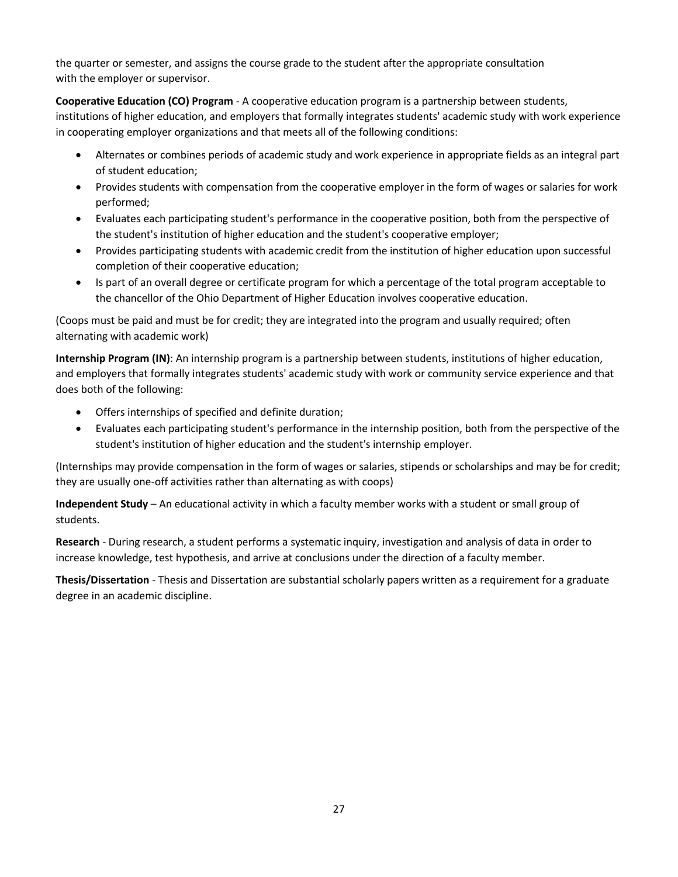the quarter or semester, and assigns the course grade to the student after the appropriate consultation with the employer or supervisor.

**Cooperative Education (CO) Program** - A cooperative education program is a partnership between students,

institutions of higher education, and employers that formally integrates students' academic study with work experience in cooperating employer organizations and that meets all of the following conditions:

- Alternates or combines periods of academic study and work experience in appropriate fields as an integral part of student education;
- Provides students with compensation from the cooperative employer in the form of wages or salaries for work performed;
- Evaluates each participating student's performance in the cooperative position, both from the perspective of the student's institution of higher education and the student's cooperative employer;
- Provides participating students with academic credit from the institution of higher education upon successful completion of their cooperative education;
- Is part of an overall degree or certificate program for which a percentage of the total program acceptable to the chancellor of the Ohio Department of Higher Education involves cooperative education.

(Coops must be paid and must be for credit; they are integrated into the program and usually required; often alternating with academic work)

**Internship Program (IN)**: An internship program is a partnership between students, institutions of higher education, and employers that formally integrates students' academic study with work or community service experience and that does both of the following:

- Offers internships of specified and definite duration;
- Evaluates each participating student's performance in the internship position, both from the perspective of the student's institution of higher education and the student's internship employer.

(Internships may provide compensation in the form of wages or salaries, stipends or scholarships and may be for credit; they are usually one-off activities rather than alternating as with coops)

**Independent Study** – An educational activity in which a faculty member works with a student or small group of students.

**Research** - During research, a student performs a systematic inquiry, investigation and analysis of data in order to increase knowledge, test hypothesis, and arrive at conclusions under the direction of a faculty member.

**Thesis/Dissertation** - Thesis and Dissertation are substantial scholarly papers written as a requirement for a graduate degree in an academic discipline.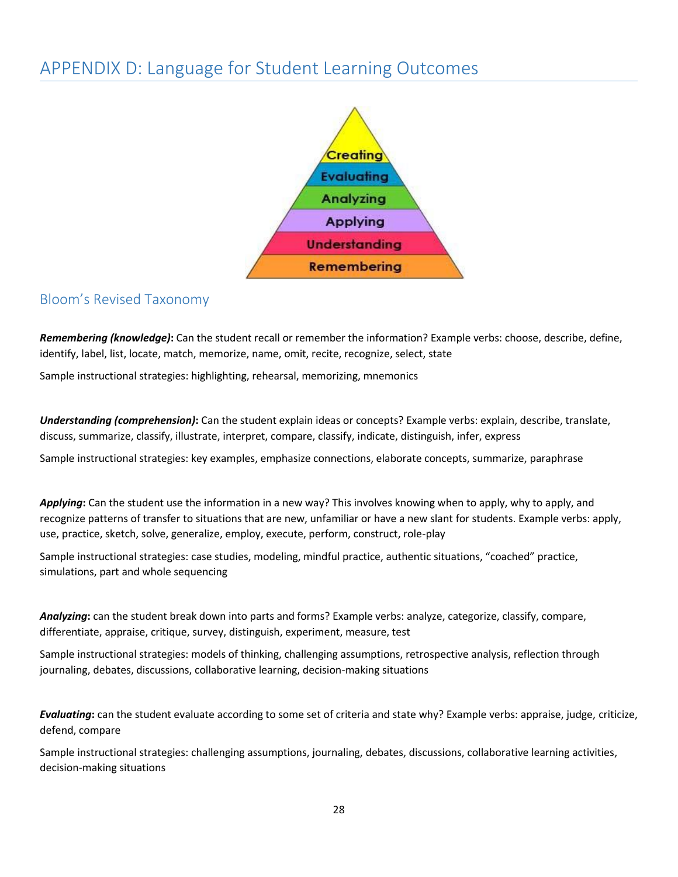# <span id="page-27-0"></span>APPENDIX D: Language for Student Learning Outcomes



## <span id="page-27-1"></span>Bloom's Revised Taxonomy

*Remembering (knowledge)***:** Can the student recall or remember the information? Example verbs: choose, describe, define, identify, label, list, locate, match, memorize, name, omit, recite, recognize, select, state

Sample instructional strategies: highlighting, rehearsal, memorizing, mnemonics

*Understanding (comprehension)***:** Can the student explain ideas or concepts? Example verbs: explain, describe, translate, discuss, summarize, classify, illustrate, interpret, compare, classify, indicate, distinguish, infer, express

Sample instructional strategies: key examples, emphasize connections, elaborate concepts, summarize, paraphrase

*Applying***:** Can the student use the information in a new way? This involves knowing when to apply, why to apply, and recognize patterns of transfer to situations that are new, unfamiliar or have a new slant for students. Example verbs: apply, use, practice, sketch, solve, generalize, employ, execute, perform, construct, role-play

Sample instructional strategies: case studies, modeling, mindful practice, authentic situations, "coached" practice, simulations, part and whole sequencing

*Analyzing***:** can the student break down into parts and forms? Example verbs: analyze, categorize, classify, compare, differentiate, appraise, critique, survey, distinguish, experiment, measure, test

Sample instructional strategies: models of thinking, challenging assumptions, retrospective analysis, reflection through journaling, debates, discussions, collaborative learning, decision-making situations

*Evaluating***:** can the student evaluate according to some set of criteria and state why? Example verbs: appraise, judge, criticize, defend, compare

Sample instructional strategies: challenging assumptions, journaling, debates, discussions, collaborative learning activities, decision-making situations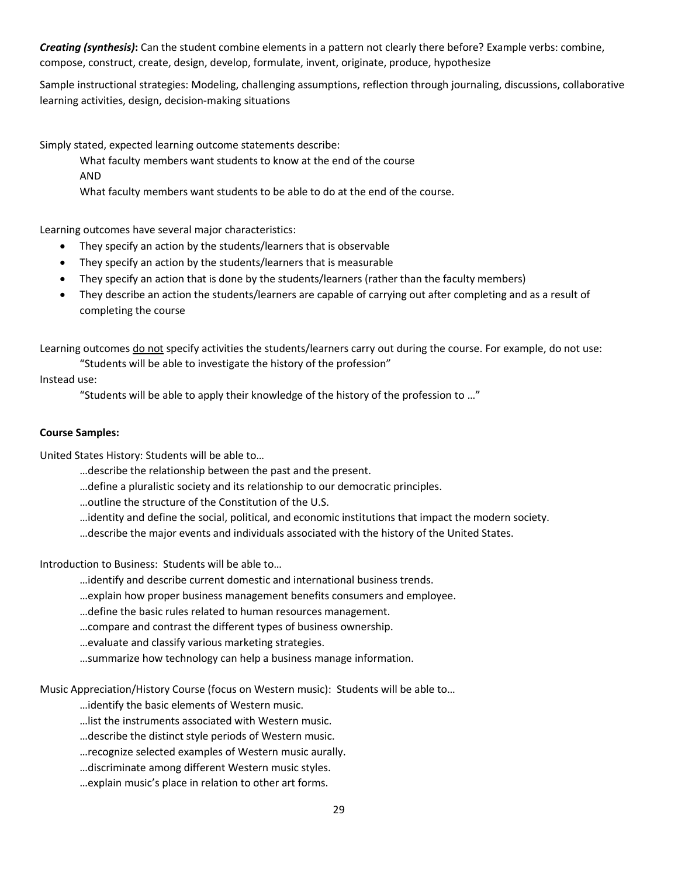*Creating (synthesis)***:** Can the student combine elements in a pattern not clearly there before? Example verbs: combine, compose, construct, create, design, develop, formulate, invent, originate, produce, hypothesize

Sample instructional strategies: Modeling, challenging assumptions, reflection through journaling, discussions, collaborative learning activities, design, decision-making situations

Simply stated, expected learning outcome statements describe:

What faculty members want students to know at the end of the course

AND

What faculty members want students to be able to do at the end of the course.

Learning outcomes have several major characteristics:

- They specify an action by the students/learners that is observable
- They specify an action by the students/learners that is measurable
- They specify an action that is done by the students/learners (rather than the faculty members)
- They describe an action the students/learners are capable of carrying out after completing and as a result of completing the course

Learning outcomes do not specify activities the students/learners carry out during the course. For example, do not use: "Students will be able to investigate the history of the profession"

Instead use:

"Students will be able to apply their knowledge of the history of the profession to …"

#### **Course Samples:**

United States History: Students will be able to…

- …describe the relationship between the past and the present.
- …define a pluralistic society and its relationship to our democratic principles.
- …outline the structure of the Constitution of the U.S.
- …identity and define the social, political, and economic institutions that impact the modern society.
- …describe the major events and individuals associated with the history of the United States.

Introduction to Business: Students will be able to…

- …identify and describe current domestic and international business trends.
- …explain how proper business management benefits consumers and employee.
- …define the basic rules related to human resources management.
- …compare and contrast the different types of business ownership.
- …evaluate and classify various marketing strategies.
- …summarize how technology can help a business manage information.

Music Appreciation/History Course (focus on Western music): Students will be able to…

…identify the basic elements of Western music.

- …list the instruments associated with Western music.
- …describe the distinct style periods of Western music.
- …recognize selected examples of Western music aurally.
- …discriminate among different Western music styles.
- …explain music's place in relation to other art forms.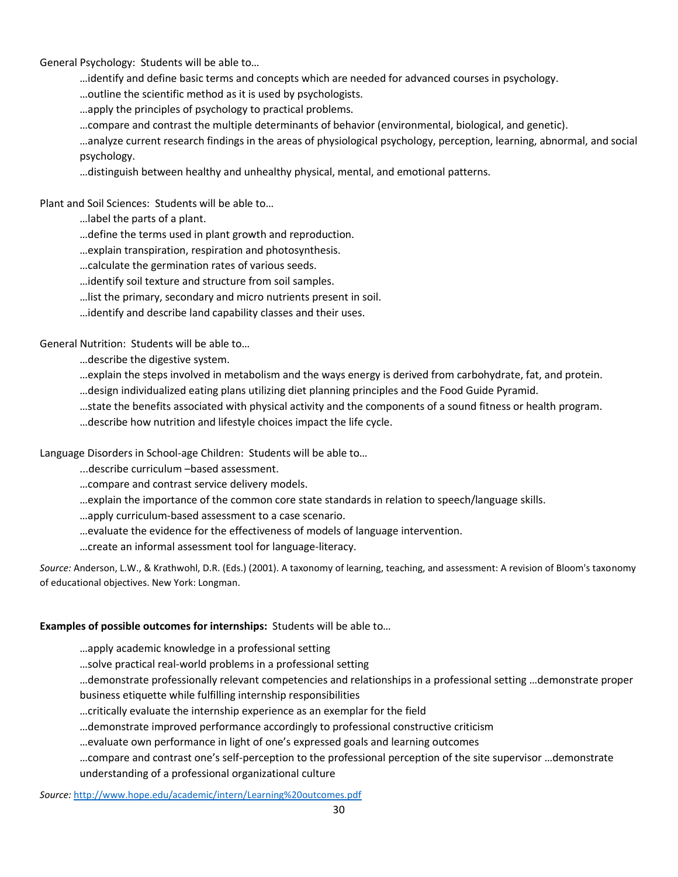General Psychology: Students will be able to…

…identify and define basic terms and concepts which are needed for advanced courses in psychology.

…outline the scientific method as it is used by psychologists.

…apply the principles of psychology to practical problems.

…compare and contrast the multiple determinants of behavior (environmental, biological, and genetic).

…analyze current research findings in the areas of physiological psychology, perception, learning, abnormal, and social psychology.

…distinguish between healthy and unhealthy physical, mental, and emotional patterns.

Plant and Soil Sciences: Students will be able to…

…label the parts of a plant.

…define the terms used in plant growth and reproduction.

…explain transpiration, respiration and photosynthesis.

…calculate the germination rates of various seeds.

…identify soil texture and structure from soil samples.

…list the primary, secondary and micro nutrients present in soil.

…identify and describe land capability classes and their uses.

General Nutrition: Students will be able to…

…describe the digestive system.

…explain the steps involved in metabolism and the ways energy is derived from carbohydrate, fat, and protein.

…design individualized eating plans utilizing diet planning principles and the Food Guide Pyramid.

…state the benefits associated with physical activity and the components of a sound fitness or health program.

…describe how nutrition and lifestyle choices impact the life cycle.

Language Disorders in School-age Children: Students will be able to…

...describe curriculum –based assessment.

…compare and contrast service delivery models.

…explain the importance of the common core state standards in relation to speech/language skills.

…apply curriculum-based assessment to a case scenario.

…evaluate the evidence for the effectiveness of models of language intervention.

…create an informal assessment tool for language-literacy.

*Source:* Anderson, L.W., & Krathwohl, D.R. (Eds.) (2001). A taxonomy of learning, teaching, and assessment: A revision of Bloom's taxonomy of educational objectives. New York: Longman.

#### **Examples of possible outcomes for internships:** Students will be able to…

…apply academic knowledge in a professional setting

…solve practical real-world problems in a professional setting

…demonstrate professionally relevant competencies and relationships in a professional setting …demonstrate proper business etiquette while fulfilling internship responsibilities

…critically evaluate the internship experience as an exemplar for the field

…demonstrate improved performance accordingly to professional constructive criticism

…evaluate own performance in light of one's expressed goals and learning outcomes

…compare and contrast one's self-perception to the professional perception of the site supervisor …demonstrate understanding of a professional organizational culture

*Source:* <http://www.hope.edu/academic/intern/Learning%20outcomes.pdf>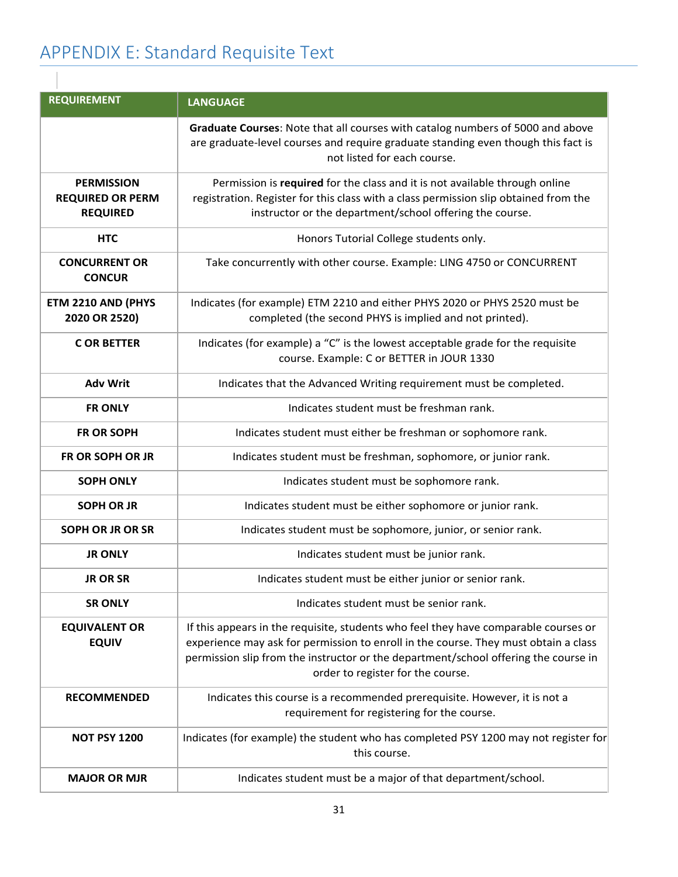# <span id="page-30-0"></span>APPENDIX E: Standard Requisite Text

| <b>REQUIREMENT</b>                                              | <b>LANGUAGE</b>                                                                                                                                                                                                                                                                                        |  |  |
|-----------------------------------------------------------------|--------------------------------------------------------------------------------------------------------------------------------------------------------------------------------------------------------------------------------------------------------------------------------------------------------|--|--|
|                                                                 | Graduate Courses: Note that all courses with catalog numbers of 5000 and above<br>are graduate-level courses and require graduate standing even though this fact is<br>not listed for each course.                                                                                                     |  |  |
| <b>PERMISSION</b><br><b>REQUIRED OR PERM</b><br><b>REQUIRED</b> | Permission is required for the class and it is not available through online<br>registration. Register for this class with a class permission slip obtained from the<br>instructor or the department/school offering the course.                                                                        |  |  |
| <b>HTC</b>                                                      | Honors Tutorial College students only.                                                                                                                                                                                                                                                                 |  |  |
| <b>CONCURRENT OR</b><br><b>CONCUR</b>                           | Take concurrently with other course. Example: LING 4750 or CONCURRENT                                                                                                                                                                                                                                  |  |  |
| ETM 2210 AND (PHYS<br>2020 OR 2520)                             | Indicates (for example) ETM 2210 and either PHYS 2020 or PHYS 2520 must be<br>completed (the second PHYS is implied and not printed).                                                                                                                                                                  |  |  |
| <b>CORBETTER</b>                                                | Indicates (for example) a "C" is the lowest acceptable grade for the requisite<br>course. Example: C or BETTER in JOUR 1330                                                                                                                                                                            |  |  |
| <b>Adv Writ</b>                                                 | Indicates that the Advanced Writing requirement must be completed.                                                                                                                                                                                                                                     |  |  |
| <b>FR ONLY</b>                                                  | Indicates student must be freshman rank.                                                                                                                                                                                                                                                               |  |  |
| <b>FR OR SOPH</b>                                               | Indicates student must either be freshman or sophomore rank.                                                                                                                                                                                                                                           |  |  |
| <b>FR OR SOPH OR JR</b>                                         | Indicates student must be freshman, sophomore, or junior rank.                                                                                                                                                                                                                                         |  |  |
| <b>SOPH ONLY</b>                                                | Indicates student must be sophomore rank.                                                                                                                                                                                                                                                              |  |  |
| <b>SOPH OR JR</b>                                               | Indicates student must be either sophomore or junior rank.                                                                                                                                                                                                                                             |  |  |
| SOPH OR JR OR SR                                                | Indicates student must be sophomore, junior, or senior rank.                                                                                                                                                                                                                                           |  |  |
| <b>JR ONLY</b>                                                  | Indicates student must be junior rank.                                                                                                                                                                                                                                                                 |  |  |
| <b>JR OR SR</b>                                                 | Indicates student must be either junior or senior rank.                                                                                                                                                                                                                                                |  |  |
| <b>SR ONLY</b>                                                  | Indicates student must be senior rank.                                                                                                                                                                                                                                                                 |  |  |
| <b>EQUIVALENT OR</b><br><b>EQUIV</b>                            | If this appears in the requisite, students who feel they have comparable courses or<br>experience may ask for permission to enroll in the course. They must obtain a class<br>permission slip from the instructor or the department/school offering the course in<br>order to register for the course. |  |  |
| <b>RECOMMENDED</b>                                              | Indicates this course is a recommended prerequisite. However, it is not a<br>requirement for registering for the course.                                                                                                                                                                               |  |  |
| <b>NOT PSY 1200</b>                                             | Indicates (for example) the student who has completed PSY 1200 may not register for<br>this course.                                                                                                                                                                                                    |  |  |
| <b>MAJOR OR MJR</b>                                             | Indicates student must be a major of that department/school.                                                                                                                                                                                                                                           |  |  |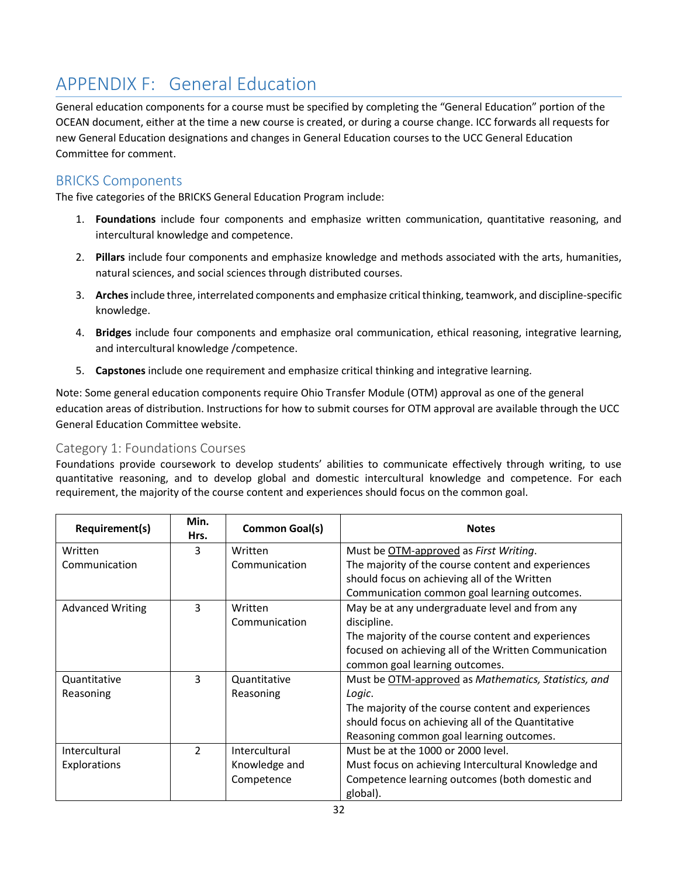# <span id="page-31-0"></span>APPENDIX F: General Education

General education components for a course must be specified by completing the "General Education" portion of the OCEAN document, either at the time a new course is created, or during a course change. ICC forwards all requests for new General Education designations and changes in General Education courses to the UCC General Education Committee for comment.

# <span id="page-31-1"></span>BRICKS Components

The five categories of the BRICKS General Education Program include:

- 1. **Foundations** include four components and emphasize written communication, quantitative reasoning, and intercultural knowledge and competence.
- 2. **Pillars** include four components and emphasize knowledge and methods associated with the arts, humanities, natural sciences, and social sciences through distributed courses.
- 3. **Arches**include three, interrelated components and emphasize critical thinking, teamwork, and discipline-specific knowledge.
- 4. **Bridges** include four components and emphasize oral communication, ethical reasoning, integrative learning, and intercultural knowledge /competence.
- 5. **Capstones** include one requirement and emphasize critical thinking and integrative learning.

Note: Some general education components require Ohio Transfer Module (OTM) approval as one of the general education areas of distribution. Instructions for how to submit courses for OTM approval are available through the UCC General Education Committee website.

## <span id="page-31-2"></span>Category 1: Foundations Courses

Foundations provide coursework to develop students' abilities to communicate effectively through writing, to use quantitative reasoning, and to develop global and domestic intercultural knowledge and competence. For each requirement, the majority of the course content and experiences should focus on the common goal.

| Requirement(s)          | Min.<br>Hrs.  | <b>Common Goal(s)</b> | <b>Notes</b>                                          |
|-------------------------|---------------|-----------------------|-------------------------------------------------------|
| Written                 | 3             | Written               | Must be OTM-approved as First Writing.                |
| Communication           |               | Communication         | The majority of the course content and experiences    |
|                         |               |                       | should focus on achieving all of the Written          |
|                         |               |                       | Communication common goal learning outcomes.          |
| <b>Advanced Writing</b> | 3             | Written               | May be at any undergraduate level and from any        |
|                         |               | Communication         | discipline.                                           |
|                         |               |                       | The majority of the course content and experiences    |
|                         |               |                       | focused on achieving all of the Written Communication |
|                         |               |                       | common goal learning outcomes.                        |
| Quantitative            | 3             | Quantitative          | Must be OTM-approved as Mathematics, Statistics, and  |
| Reasoning               |               | Reasoning             | Logic.                                                |
|                         |               |                       | The majority of the course content and experiences    |
|                         |               |                       | should focus on achieving all of the Quantitative     |
|                         |               |                       | Reasoning common goal learning outcomes.              |
| Intercultural           | $\mathcal{P}$ | Intercultural         | Must be at the 1000 or 2000 level.                    |
| Explorations            |               | Knowledge and         | Must focus on achieving Intercultural Knowledge and   |
|                         |               | Competence            | Competence learning outcomes (both domestic and       |
|                         |               |                       | global).                                              |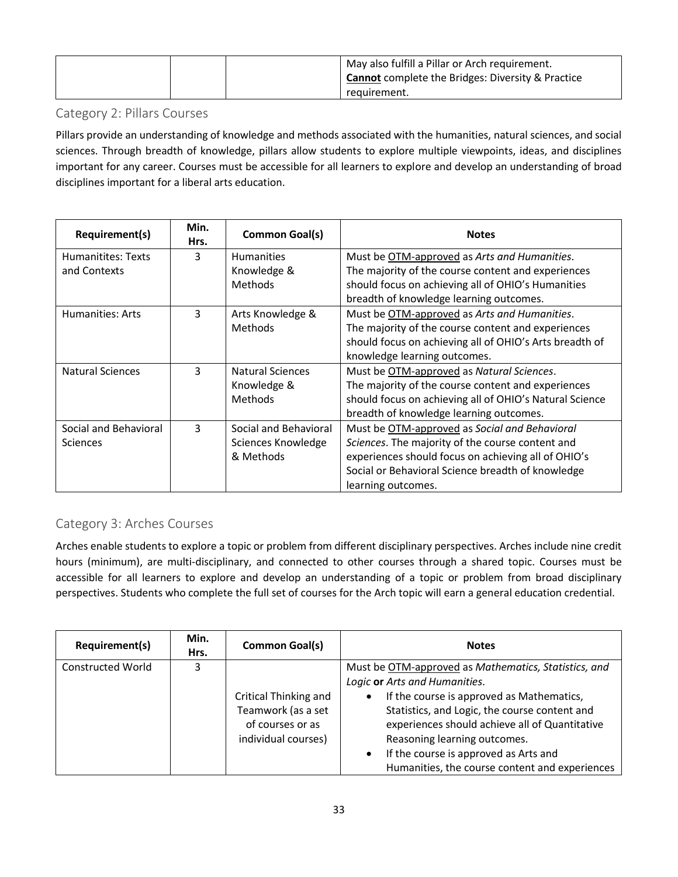|  | May also fulfill a Pillar or Arch requirement.<br><b>Cannot</b> complete the Bridges: Diversity & Practice<br>requirement. |
|--|----------------------------------------------------------------------------------------------------------------------------|
|--|----------------------------------------------------------------------------------------------------------------------------|

## <span id="page-32-0"></span>Category 2: Pillars Courses

Pillars provide an understanding of knowledge and methods associated with the humanities, natural sciences, and social sciences. Through breadth of knowledge, pillars allow students to explore multiple viewpoints, ideas, and disciplines important for any career. Courses must be accessible for all learners to explore and develop an understanding of broad disciplines important for a liberal arts education.

| Requirement(s)          | Min.<br>Hrs. | <b>Common Goal(s)</b> | <b>Notes</b>                                            |
|-------------------------|--------------|-----------------------|---------------------------------------------------------|
| Humanitites: Texts      | 3            | <b>Humanities</b>     | Must be OTM-approved as Arts and Humanities.            |
| and Contexts            |              | Knowledge &           | The majority of the course content and experiences      |
|                         |              | <b>Methods</b>        | should focus on achieving all of OHIO's Humanities      |
|                         |              |                       | breadth of knowledge learning outcomes.                 |
| Humanities: Arts        | 3            | Arts Knowledge &      | Must be OTM-approved as Arts and Humanities.            |
|                         |              | <b>Methods</b>        | The majority of the course content and experiences      |
|                         |              |                       | should focus on achieving all of OHIO's Arts breadth of |
|                         |              |                       | knowledge learning outcomes.                            |
| <b>Natural Sciences</b> | 3            | Natural Sciences      | Must be OTM-approved as Natural Sciences.               |
|                         |              | Knowledge &           | The majority of the course content and experiences      |
|                         |              | <b>Methods</b>        | should focus on achieving all of OHIO's Natural Science |
|                         |              |                       | breadth of knowledge learning outcomes.                 |
| Social and Behavioral   | 3            | Social and Behavioral | Must be OTM-approved as Social and Behavioral           |
| Sciences                |              | Sciences Knowledge    | Sciences. The majority of the course content and        |
|                         |              | & Methods             | experiences should focus on achieving all of OHIO's     |
|                         |              |                       | Social or Behavioral Science breadth of knowledge       |
|                         |              |                       | learning outcomes.                                      |

# <span id="page-32-1"></span>Category 3: Arches Courses

Arches enable students to explore a topic or problem from different disciplinary perspectives. Arches include nine credit hours (minimum), are multi-disciplinary, and connected to other courses through a shared topic. Courses must be accessible for all learners to explore and develop an understanding of a topic or problem from broad disciplinary perspectives. Students who complete the full set of courses for the Arch topic will earn a general education credential.

| Requirement(s)           | Min.<br>Hrs. | <b>Common Goal(s)</b>                                                                  | <b>Notes</b>                                                                                                                                                                                                                                                                                                                                                                  |
|--------------------------|--------------|----------------------------------------------------------------------------------------|-------------------------------------------------------------------------------------------------------------------------------------------------------------------------------------------------------------------------------------------------------------------------------------------------------------------------------------------------------------------------------|
| <b>Constructed World</b> | 3            | Critical Thinking and<br>Teamwork (as a set<br>of courses or as<br>individual courses) | Must be OTM-approved as Mathematics, Statistics, and<br>Logic or Arts and Humanities.<br>If the course is approved as Mathematics,<br>Statistics, and Logic, the course content and<br>experiences should achieve all of Quantitative<br>Reasoning learning outcomes.<br>If the course is approved as Arts and<br>$\bullet$<br>Humanities, the course content and experiences |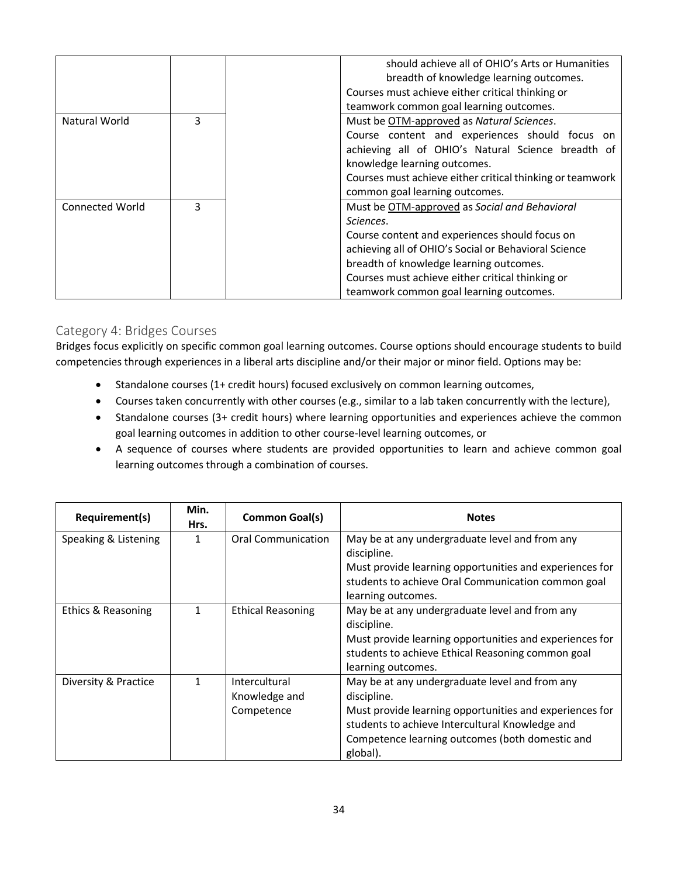|                        |   | should achieve all of OHIO's Arts or Humanities           |
|------------------------|---|-----------------------------------------------------------|
|                        |   | breadth of knowledge learning outcomes.                   |
|                        |   |                                                           |
|                        |   | Courses must achieve either critical thinking or          |
|                        |   | teamwork common goal learning outcomes.                   |
| Natural World          | 3 | Must be OTM-approved as Natural Sciences.                 |
|                        |   | Course content and experiences should focus on            |
|                        |   | achieving all of OHIO's Natural Science breadth of        |
|                        |   | knowledge learning outcomes.                              |
|                        |   | Courses must achieve either critical thinking or teamwork |
|                        |   | common goal learning outcomes.                            |
| <b>Connected World</b> | 3 | Must be OTM-approved as Social and Behavioral             |
|                        |   | Sciences.                                                 |
|                        |   | Course content and experiences should focus on            |
|                        |   | achieving all of OHIO's Social or Behavioral Science      |
|                        |   | breadth of knowledge learning outcomes.                   |
|                        |   | Courses must achieve either critical thinking or          |
|                        |   | teamwork common goal learning outcomes.                   |

### <span id="page-33-0"></span>Category 4: Bridges Courses

Bridges focus explicitly on specific common goal learning outcomes. Course options should encourage students to build competencies through experiences in a liberal arts discipline and/or their major or minor field. Options may be:

- Standalone courses (1+ credit hours) focused exclusively on common learning outcomes,
- Courses taken concurrently with other courses (e.g., similar to a lab taken concurrently with the lecture),
- Standalone courses (3+ credit hours) where learning opportunities and experiences achieve the common goal learning outcomes in addition to other course-level learning outcomes, or
- A sequence of courses where students are provided opportunities to learn and achieve common goal learning outcomes through a combination of courses.

| Requirement(s)       | Min.<br>Hrs. | <b>Common Goal(s)</b>    | <b>Notes</b>                                            |
|----------------------|--------------|--------------------------|---------------------------------------------------------|
| Speaking & Listening | 1            | Oral Communication       | May be at any undergraduate level and from any          |
|                      |              |                          | discipline.                                             |
|                      |              |                          | Must provide learning opportunities and experiences for |
|                      |              |                          | students to achieve Oral Communication common goal      |
|                      |              |                          | learning outcomes.                                      |
| Ethics & Reasoning   | $\mathbf{1}$ | <b>Ethical Reasoning</b> | May be at any undergraduate level and from any          |
|                      |              |                          | discipline.                                             |
|                      |              |                          | Must provide learning opportunities and experiences for |
|                      |              |                          | students to achieve Ethical Reasoning common goal       |
|                      |              |                          | learning outcomes.                                      |
| Diversity & Practice | $\mathbf{1}$ | Intercultural            | May be at any undergraduate level and from any          |
|                      |              | Knowledge and            | discipline.                                             |
|                      |              | Competence               | Must provide learning opportunities and experiences for |
|                      |              |                          | students to achieve Intercultural Knowledge and         |
|                      |              |                          | Competence learning outcomes (both domestic and         |
|                      |              |                          | global).                                                |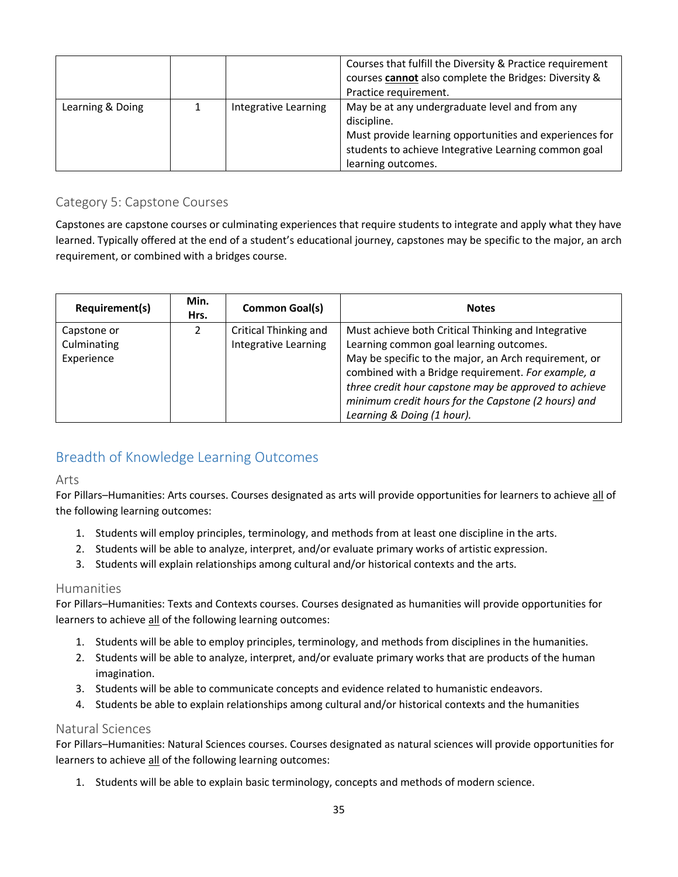|                  |                      | Courses that fulfill the Diversity & Practice requirement<br>courses cannot also complete the Bridges: Diversity &<br>Practice requirement.                                                            |
|------------------|----------------------|--------------------------------------------------------------------------------------------------------------------------------------------------------------------------------------------------------|
| Learning & Doing | Integrative Learning | May be at any undergraduate level and from any<br>discipline.<br>Must provide learning opportunities and experiences for<br>students to achieve Integrative Learning common goal<br>learning outcomes. |

## <span id="page-34-0"></span>Category 5: Capstone Courses

Capstones are capstone courses or culminating experiences that require students to integrate and apply what they have learned. Typically offered at the end of a student's educational journey, capstones may be specific to the major, an arch requirement, or combined with a bridges course.

| Requirement(s)                           | Min.<br>Hrs. | <b>Common Goal(s)</b>                                | <b>Notes</b>                                                                                                                                                                                                                                                                                                                                                |
|------------------------------------------|--------------|------------------------------------------------------|-------------------------------------------------------------------------------------------------------------------------------------------------------------------------------------------------------------------------------------------------------------------------------------------------------------------------------------------------------------|
| Capstone or<br>Culminating<br>Experience |              | <b>Critical Thinking and</b><br>Integrative Learning | Must achieve both Critical Thinking and Integrative<br>Learning common goal learning outcomes.<br>May be specific to the major, an Arch requirement, or<br>combined with a Bridge requirement. For example, a<br>three credit hour capstone may be approved to achieve<br>minimum credit hours for the Capstone (2 hours) and<br>Learning & Doing (1 hour). |

# <span id="page-34-1"></span>Breadth of Knowledge Learning Outcomes

#### <span id="page-34-2"></span>Arts

For Pillars–Humanities: Arts courses. Courses designated as arts will provide opportunities for learners to achieve all of the following learning outcomes:

- 1. Students will employ principles, terminology, and methods from at least one discipline in the arts.
- 2. Students will be able to analyze, interpret, and/or evaluate primary works of artistic expression.
- 3. Students will explain relationships among cultural and/or historical contexts and the arts.

### <span id="page-34-3"></span>Humanities

For Pillars–Humanities: Texts and Contexts courses. Courses designated as humanities will provide opportunities for learners to achieve all of the following learning outcomes:

- 1. Students will be able to employ principles, terminology, and methods from disciplines in the humanities.
- 2. Students will be able to analyze, interpret, and/or evaluate primary works that are products of the human imagination.
- 3. Students will be able to communicate concepts and evidence related to humanistic endeavors.
- 4. Students be able to explain relationships among cultural and/or historical contexts and the humanities

### <span id="page-34-4"></span>Natural Sciences

For Pillars–Humanities: Natural Sciences courses. Courses designated as natural sciences will provide opportunities for learners to achieve all of the following learning outcomes:

1. Students will be able to explain basic terminology, concepts and methods of modern science.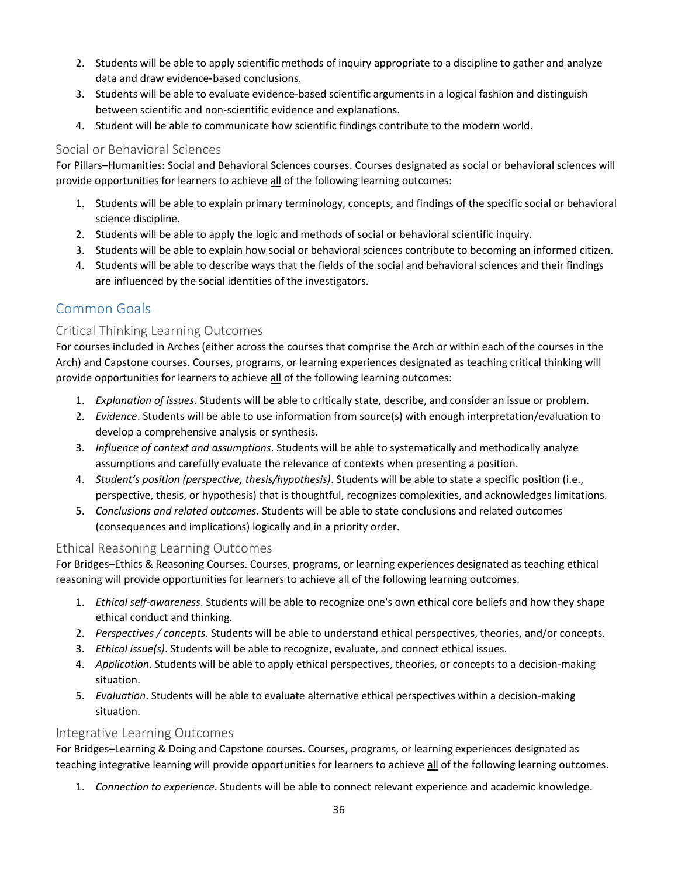- 2. Students will be able to apply scientific methods of inquiry appropriate to a discipline to gather and analyze data and draw evidence‐based conclusions.
- 3. Students will be able to evaluate evidence-based scientific arguments in a logical fashion and distinguish between scientific and non‐scientific evidence and explanations.
- 4. Student will be able to communicate how scientific findings contribute to the modern world.

## <span id="page-35-0"></span>Social or Behavioral Sciences

For Pillars–Humanities: Social and Behavioral Sciences courses. Courses designated as social or behavioral sciences will provide opportunities for learners to achieve all of the following learning outcomes:

- 1. Students will be able to explain primary terminology, concepts, and findings of the specific social or behavioral science discipline.
- 2. Students will be able to apply the logic and methods of social or behavioral scientific inquiry.
- 3. Students will be able to explain how social or behavioral sciences contribute to becoming an informed citizen.
- 4. Students will be able to describe ways that the fields of the social and behavioral sciences and their findings are influenced by the social identities of the investigators.

# <span id="page-35-1"></span>Common Goals

## <span id="page-35-2"></span>Critical Thinking Learning Outcomes

For courses included in Arches (either across the courses that comprise the Arch or within each of the courses in the Arch) and Capstone courses. Courses, programs, or learning experiences designated as teaching critical thinking will provide opportunities for learners to achieve all of the following learning outcomes:

- 1. *Explanation of issues*. Students will be able to critically state, describe, and consider an issue or problem.
- 2. *Evidence*. Students will be able to use information from source(s) with enough interpretation/evaluation to develop a comprehensive analysis or synthesis.
- 3. *Influence of context and assumptions*. Students will be able to systematically and methodically analyze assumptions and carefully evaluate the relevance of contexts when presenting a position.
- 4. *Student's position (perspective, thesis/hypothesis)*. Students will be able to state a specific position (i.e., perspective, thesis, or hypothesis) that is thoughtful, recognizes complexities, and acknowledges limitations.
- 5. *Conclusions and related outcomes*. Students will be able to state conclusions and related outcomes (consequences and implications) logically and in a priority order.

### <span id="page-35-3"></span>Ethical Reasoning Learning Outcomes

For Bridges–Ethics & Reasoning Courses. Courses, programs, or learning experiences designated as teaching ethical reasoning will provide opportunities for learners to achieve all of the following learning outcomes.

- 1. *Ethical self-awareness*. Students will be able to recognize one's own ethical core beliefs and how they shape ethical conduct and thinking.
- 2. *Perspectives / concepts*. Students will be able to understand ethical perspectives, theories, and/or concepts.
- 3. *Ethical issue(s)*. Students will be able to recognize, evaluate, and connect ethical issues.
- 4. *Application*. Students will be able to apply ethical perspectives, theories, or concepts to a decision-making situation.
- 5. *Evaluation*. Students will be able to evaluate alternative ethical perspectives within a decision-making situation.

### <span id="page-35-4"></span>Integrative Learning Outcomes

For Bridges–Learning & Doing and Capstone courses. Courses, programs, or learning experiences designated as teaching integrative learning will provide opportunities for learners to achieve all of the following learning outcomes.

1. *Connection to experience*. Students will be able to connect relevant experience and academic knowledge.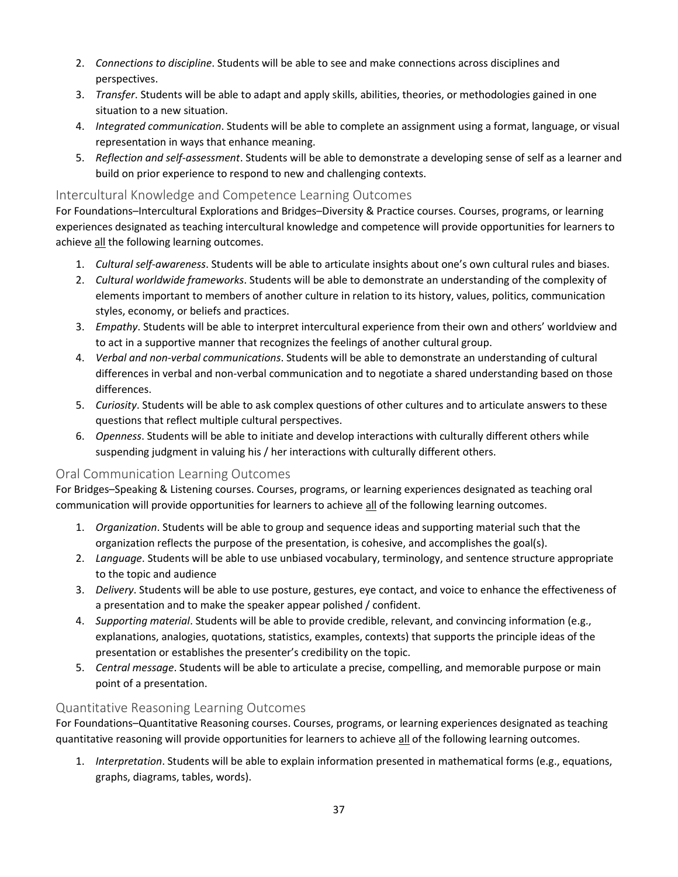- 2. *Connections to discipline*. Students will be able to see and make connections across disciplines and perspectives.
- 3. *Transfer*. Students will be able to adapt and apply skills, abilities, theories, or methodologies gained in one situation to a new situation.
- 4. *Integrated communication*. Students will be able to complete an assignment using a format, language, or visual representation in ways that enhance meaning.
- 5. *Reflection and self-assessment*. Students will be able to demonstrate a developing sense of self as a learner and build on prior experience to respond to new and challenging contexts.

## <span id="page-36-0"></span>Intercultural Knowledge and Competence Learning Outcomes

For Foundations–Intercultural Explorations and Bridges–Diversity & Practice courses. Courses, programs, or learning experiences designated as teaching intercultural knowledge and competence will provide opportunities for learners to achieve all the following learning outcomes.

- 1. *Cultural self-awareness*. Students will be able to articulate insights about one's own cultural rules and biases.
- 2. *Cultural worldwide frameworks*. Students will be able to demonstrate an understanding of the complexity of elements important to members of another culture in relation to its history, values, politics, communication styles, economy, or beliefs and practices.
- 3. *Empathy*. Students will be able to interpret intercultural experience from their own and others' worldview and to act in a supportive manner that recognizes the feelings of another cultural group.
- 4. *Verbal and non-verbal communications*. Students will be able to demonstrate an understanding of cultural differences in verbal and non-verbal communication and to negotiate a shared understanding based on those differences.
- 5. *Curiosity*. Students will be able to ask complex questions of other cultures and to articulate answers to these questions that reflect multiple cultural perspectives.
- 6. *Openness*. Students will be able to initiate and develop interactions with culturally different others while suspending judgment in valuing his / her interactions with culturally different others.

## <span id="page-36-1"></span>Oral Communication Learning Outcomes

For Bridges–Speaking & Listening courses. Courses, programs, or learning experiences designated as teaching oral communication will provide opportunities for learners to achieve all of the following learning outcomes.

- 1. *Organization*. Students will be able to group and sequence ideas and supporting material such that the organization reflects the purpose of the presentation, is cohesive, and accomplishes the goal(s).
- 2. *Language*. Students will be able to use unbiased vocabulary, terminology, and sentence structure appropriate to the topic and audience
- 3. *Delivery*. Students will be able to use posture, gestures, eye contact, and voice to enhance the effectiveness of a presentation and to make the speaker appear polished / confident.
- 4. *Supporting material*. Students will be able to provide credible, relevant, and convincing information (e.g., explanations, analogies, quotations, statistics, examples, contexts) that supports the principle ideas of the presentation or establishes the presenter's credibility on the topic.
- 5. *Central message*. Students will be able to articulate a precise, compelling, and memorable purpose or main point of a presentation.

### <span id="page-36-2"></span>Quantitative Reasoning Learning Outcomes

For Foundations–Quantitative Reasoning courses. Courses, programs, or learning experiences designated as teaching quantitative reasoning will provide opportunities for learners to achieve all of the following learning outcomes.

1. *Interpretation*. Students will be able to explain information presented in mathematical forms (e.g., equations, graphs, diagrams, tables, words).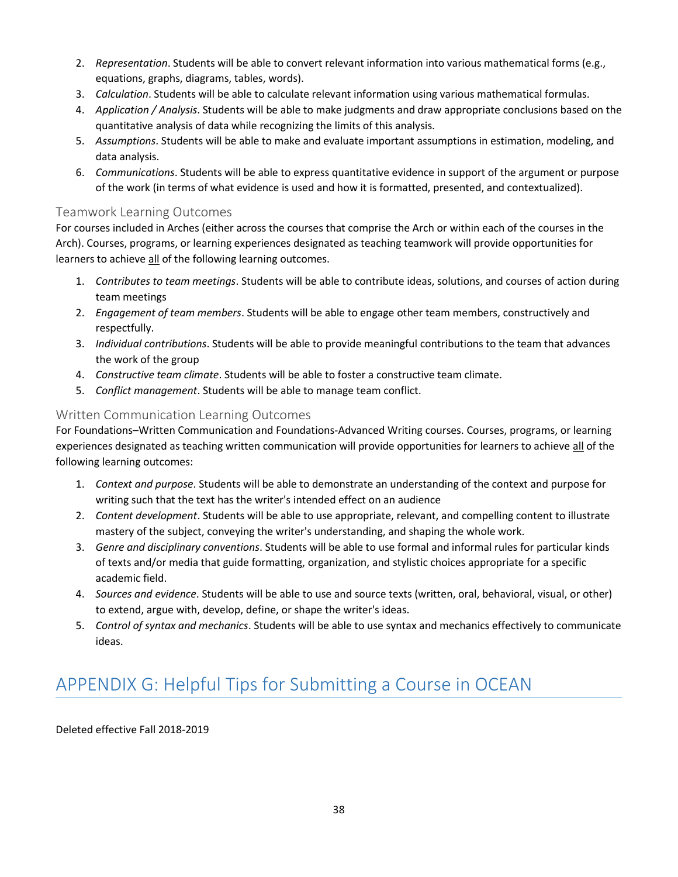- 2. *Representation*. Students will be able to convert relevant information into various mathematical forms (e.g., equations, graphs, diagrams, tables, words).
- 3. *Calculation*. Students will be able to calculate relevant information using various mathematical formulas.
- 4. *Application / Analysis*. Students will be able to make judgments and draw appropriate conclusions based on the quantitative analysis of data while recognizing the limits of this analysis.
- 5. *Assumptions*. Students will be able to make and evaluate important assumptions in estimation, modeling, and data analysis.
- 6. *Communications*. Students will be able to express quantitative evidence in support of the argument or purpose of the work (in terms of what evidence is used and how it is formatted, presented, and contextualized).

## <span id="page-37-0"></span>Teamwork Learning Outcomes

For courses included in Arches (either across the courses that comprise the Arch or within each of the courses in the Arch). Courses, programs, or learning experiences designated as teaching teamwork will provide opportunities for learners to achieve all of the following learning outcomes.

- 1. *Contributes to team meetings*. Students will be able to contribute ideas, solutions, and courses of action during team meetings
- 2. *Engagement of team members*. Students will be able to engage other team members, constructively and respectfully.
- 3. *Individual contributions*. Students will be able to provide meaningful contributions to the team that advances the work of the group
- 4. *Constructive team climate*. Students will be able to foster a constructive team climate.
- 5. *Conflict management*. Students will be able to manage team conflict.

## <span id="page-37-1"></span>Written Communication Learning Outcomes

For Foundations–Written Communication and Foundations-Advanced Writing courses. Courses, programs, or learning experiences designated as teaching written communication will provide opportunities for learners to achieve all of the following learning outcomes:

- 1. *Context and purpose*. Students will be able to demonstrate an understanding of the context and purpose for writing such that the text has the writer's intended effect on an audience
- 2. *Content development*. Students will be able to use appropriate, relevant, and compelling content to illustrate mastery of the subject, conveying the writer's understanding, and shaping the whole work.
- 3. *Genre and disciplinary conventions*. Students will be able to use formal and informal rules for particular kinds of texts and/or media that guide formatting, organization, and stylistic choices appropriate for a specific academic field.
- 4. *Sources and evidence*. Students will be able to use and source texts (written, oral, behavioral, visual, or other) to extend, argue with, develop, define, or shape the writer's ideas.
- 5. *Control of syntax and mechanics*. Students will be able to use syntax and mechanics effectively to communicate ideas.

# <span id="page-37-2"></span>APPENDIX G: Helpful Tips for Submitting a Course in OCEAN

Deleted effective Fall 2018-2019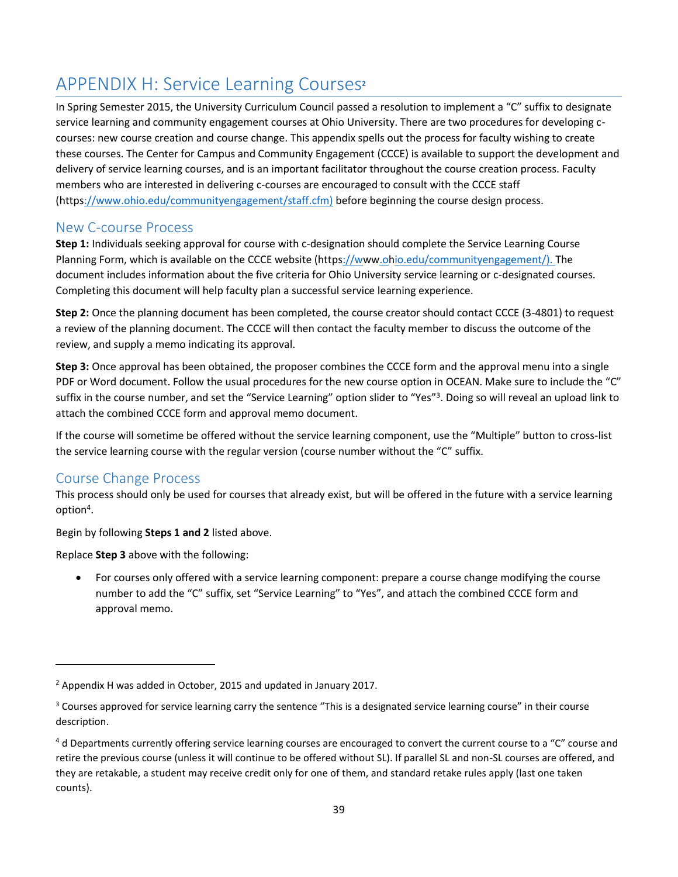# <span id="page-38-0"></span>APPENDIX H: Service Learning Courses**<sup>2</sup>**

In Spring Semester 2015, the University Curriculum Council passed a resolution to implement a "C" suffix to designate service learning and community engagement courses at Ohio University. There are two procedures for developing ccourses: new course creation and course change. This appendix spells out the process for faculty wishing to create these courses. The Center for Campus and Community Engagement (CCCE) is available to support the development and delivery of service learning courses, and is an important facilitator throughout the course creation process. Faculty members who are interested in delivering c-courses are encouraged to consult with the CCCE staff (http[s://www.ohio.edu/communityengagement/staff.cfm\)](http://www.ohio.edu/communityengagement/staff.cfm)) before beginning the course design process.

# <span id="page-38-1"></span>New C-course Process

**Step 1:** Individuals seeking approval for course with c-designation should complete the Service Learning Course Planning Form, which is available on the CCCE website (http[s://www.ohio.edu/communityengagement/\). T](http://www.ohio.edu/communityengagement/))he document includes information about the five criteria for Ohio University service learning or c-designated courses. Completing this document will help faculty plan a successful service learning experience.

**Step 2:** Once the planning document has been completed, the course creator should contact CCCE (3-4801) to request a review of the planning document. The CCCE will then contact the faculty member to discuss the outcome of the review, and supply a memo indicating its approval.

**Step 3:** Once approval has been obtained, the proposer combines the CCCE form and the approval menu into a single PDF or Word document. Follow the usual procedures for the new course option in OCEAN. Make sure to include the "C" suffix in the course number, and set the "Service Learning" option slider to "Yes"<sup>3</sup>. Doing so will reveal an upload link to attach the combined CCCE form and approval memo document.

If the course will sometime be offered without the service learning component, use the "Multiple" button to cross-list the service learning course with the regular version (course number without the "C" suffix.

# <span id="page-38-2"></span>Course Change Process

This process should only be used for courses that already exist, but will be offered in the future with a service learning option<sup>4</sup>.

Begin by following **Steps 1 and 2** listed above.

Replace **Step 3** above with the following:

• For courses only offered with a service learning component: prepare a course change modifying the course number to add the "C" suffix, set "Service Learning" to "Yes", and attach the combined CCCE form and approval memo.

<sup>2</sup> Appendix H was added in October, 2015 and updated in January 2017.

<sup>&</sup>lt;sup>3</sup> Courses approved for service learning carry the sentence "This is a designated service learning course" in their course description.

 $4$  d Departments currently offering service learning courses are encouraged to convert the current course to a "C" course and retire the previous course (unless it will continue to be offered without SL). If parallel SL and non-SL courses are offered, and they are retakable, a student may receive credit only for one of them, and standard retake rules apply (last one taken counts).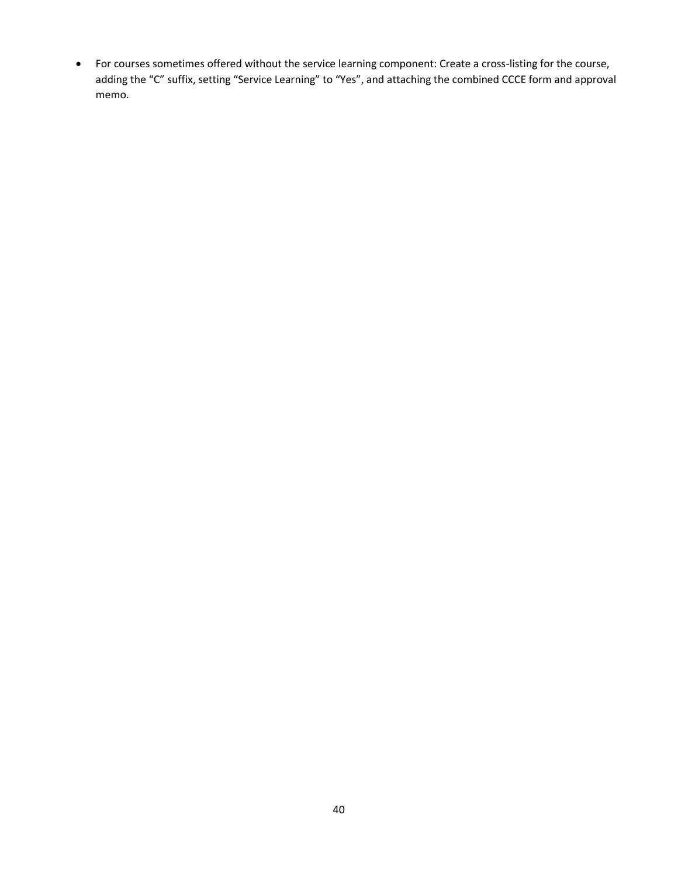• For courses sometimes offered without the service learning component: Create a cross-listing for the course, adding the "C" suffix, setting "Service Learning" to "Yes", and attaching the combined CCCE form and approval memo.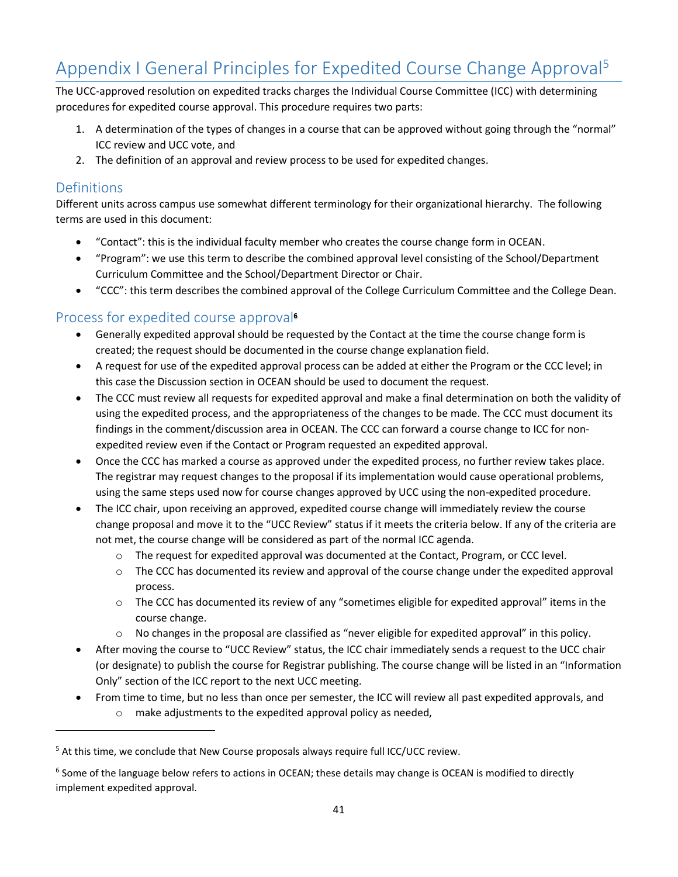# <span id="page-40-0"></span>Appendix I General Principles for Expedited Course Change Approval<sup>5</sup>

The UCC-approved resolution on expedited tracks charges the Individual Course Committee (ICC) with determining procedures for expedited course approval. This procedure requires two parts:

- 1. A determination of the types of changes in a course that can be approved without going through the "normal" ICC review and UCC vote, and
- 2. The definition of an approval and review process to be used for expedited changes.

## <span id="page-40-1"></span>**Definitions**

Different units across campus use somewhat different terminology for their organizational hierarchy. The following terms are used in this document:

- "Contact": this is the individual faculty member who creates the course change form in OCEAN.
- "Program": we use this term to describe the combined approval level consisting of the School/Department Curriculum Committee and the School/Department Director or Chair.
- "CCC": this term describes the combined approval of the College Curriculum Committee and the College Dean.

## <span id="page-40-2"></span>Process for expedited course approval**<sup>6</sup>**

- Generally expedited approval should be requested by the Contact at the time the course change form is created; the request should be documented in the course change explanation field.
- A request for use of the expedited approval process can be added at either the Program or the CCC level; in this case the Discussion section in OCEAN should be used to document the request.
- The CCC must review all requests for expedited approval and make a final determination on both the validity of using the expedited process, and the appropriateness of the changes to be made. The CCC must document its findings in the comment/discussion area in OCEAN. The CCC can forward a course change to ICC for nonexpedited review even if the Contact or Program requested an expedited approval.
- Once the CCC has marked a course as approved under the expedited process, no further review takes place. The registrar may request changes to the proposal if its implementation would cause operational problems, using the same steps used now for course changes approved by UCC using the non-expedited procedure.
- The ICC chair, upon receiving an approved, expedited course change will immediately review the course change proposal and move it to the "UCC Review" status if it meets the criteria below. If any of the criteria are not met, the course change will be considered as part of the normal ICC agenda.
	- o The request for expedited approval was documented at the Contact, Program, or CCC level.
	- $\circ$  The CCC has documented its review and approval of the course change under the expedited approval process.
	- $\circ$  The CCC has documented its review of any "sometimes eligible for expedited approval" items in the course change.
	- o No changes in the proposal are classified as "never eligible for expedited approval" in this policy.
- After moving the course to "UCC Review" status, the ICC chair immediately sends a request to the UCC chair (or designate) to publish the course for Registrar publishing. The course change will be listed in an "Information Only" section of the ICC report to the next UCC meeting.
- From time to time, but no less than once per semester, the ICC will review all past expedited approvals, and o make adjustments to the expedited approval policy as needed,

<sup>&</sup>lt;sup>5</sup> At this time, we conclude that New Course proposals always require full ICC/UCC review.

<sup>&</sup>lt;sup>6</sup> Some of the language below refers to actions in OCEAN; these details may change is OCEAN is modified to directly implement expedited approval.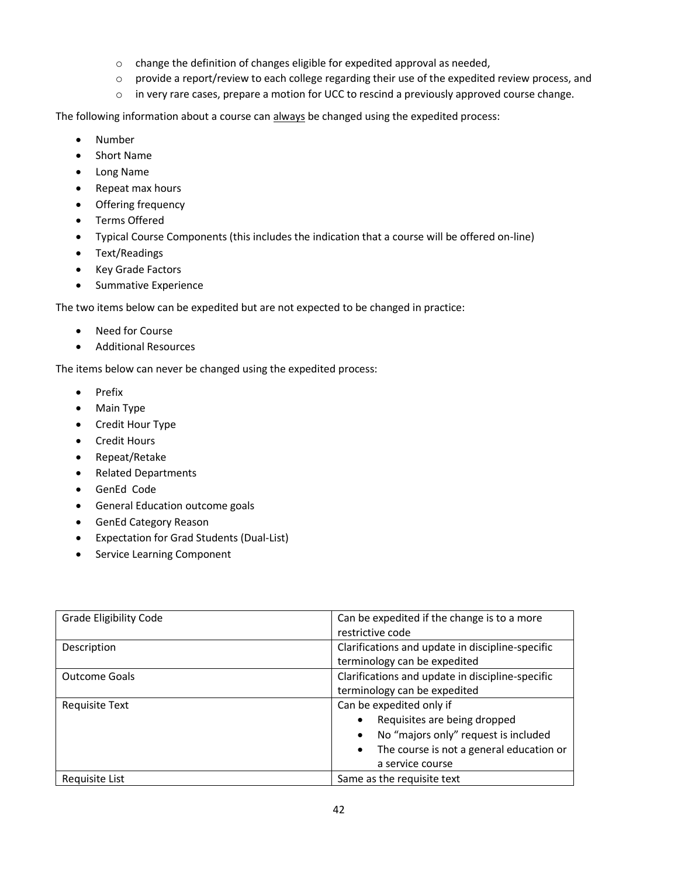- o change the definition of changes eligible for expedited approval as needed,
- $\circ$  provide a report/review to each college regarding their use of the expedited review process, and
- $\circ$  in very rare cases, prepare a motion for UCC to rescind a previously approved course change.

The following information about a course can always be changed using the expedited process:

- Number
- Short Name
- Long Name
- Repeat max hours
- Offering frequency
- Terms Offered
- Typical Course Components (this includes the indication that a course will be offered on-line)
- Text/Readings
- Key Grade Factors
- Summative Experience

The two items below can be expedited but are not expected to be changed in practice:

- Need for Course
- Additional Resources

The items below can never be changed using the expedited process:

- Prefix
- Main Type
- Credit Hour Type
- Credit Hours
- Repeat/Retake
- Related Departments
- GenEd Code
- General Education outcome goals
- GenEd Category Reason
- Expectation for Grad Students (Dual-List)
- Service Learning Component

| <b>Grade Eligibility Code</b> | Can be expedited if the change is to a more<br>restrictive code                                                                                                               |
|-------------------------------|-------------------------------------------------------------------------------------------------------------------------------------------------------------------------------|
| Description                   | Clarifications and update in discipline-specific<br>terminology can be expedited                                                                                              |
| <b>Outcome Goals</b>          | Clarifications and update in discipline-specific<br>terminology can be expedited                                                                                              |
| Requisite Text                | Can be expedited only if<br>Requisites are being dropped<br>No "majors only" request is included<br>The course is not a general education or<br>$\bullet$<br>a service course |
| Requisite List                | Same as the requisite text                                                                                                                                                    |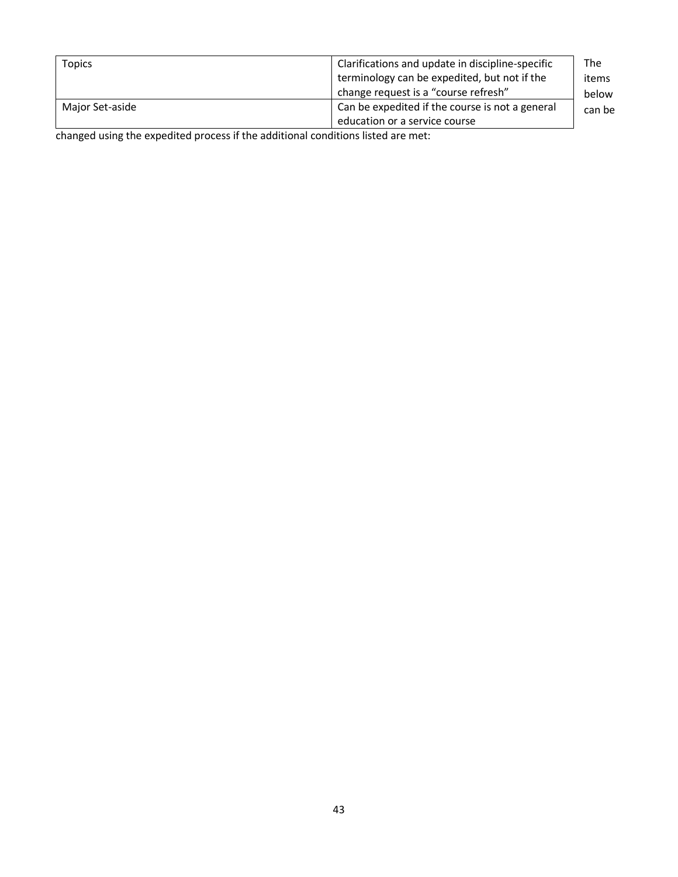| <b>Topics</b>   | Clarifications and update in discipline-specific<br>terminology can be expedited, but not if the<br>change request is a "course refresh" | The<br>items<br>below |
|-----------------|------------------------------------------------------------------------------------------------------------------------------------------|-----------------------|
| Major Set-aside | Can be expedited if the course is not a general<br>education or a service course                                                         | can be                |

changed using the expedited process if the additional conditions listed are met: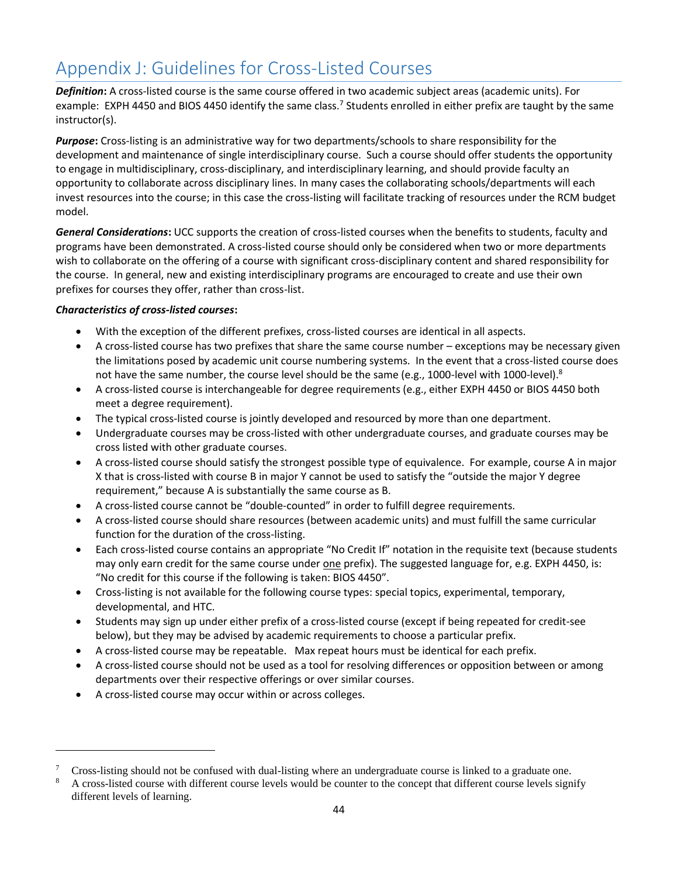# <span id="page-43-0"></span>Appendix J: Guidelines for Cross-Listed Courses

*Definition***:** A cross-listed course is the same course offered in two academic subject areas (academic units). For example: EXPH 4450 and BIOS 4450 identify the same class.<sup>7</sup> Students enrolled in either prefix are taught by the same instructor(s).

*Purpose***:** Cross-listing is an administrative way for two departments/schools to share responsibility for the development and maintenance of single interdisciplinary course. Such a course should offer students the opportunity to engage in multidisciplinary, cross-disciplinary, and interdisciplinary learning, and should provide faculty an opportunity to collaborate across disciplinary lines. In many cases the collaborating schools/departments will each invest resources into the course; in this case the cross-listing will facilitate tracking of resources under the RCM budget model.

*General Considerations***:** UCC supports the creation of cross-listed courses when the benefits to students, faculty and programs have been demonstrated. A cross-listed course should only be considered when two or more departments wish to collaborate on the offering of a course with significant cross-disciplinary content and shared responsibility for the course. In general, new and existing interdisciplinary programs are encouraged to create and use their own prefixes for courses they offer, rather than cross-list.

#### *Characteristics of cross-listed courses***:**

- With the exception of the different prefixes, cross-listed courses are identical in all aspects.
- A cross-listed course has two prefixes that share the same course number exceptions may be necessary given the limitations posed by academic unit course numbering systems. In the event that a cross-listed course does not have the same number, the course level should be the same (e.g., 1000-level with 1000-level).<sup>8</sup>
- A cross-listed course is interchangeable for degree requirements (e.g., either EXPH 4450 or BIOS 4450 both meet a degree requirement).
- The typical cross-listed course is jointly developed and resourced by more than one department.
- Undergraduate courses may be cross-listed with other undergraduate courses, and graduate courses may be cross listed with other graduate courses.
- A cross-listed course should satisfy the strongest possible type of equivalence. For example, course A in major X that is cross-listed with course B in major Y cannot be used to satisfy the "outside the major Y degree requirement," because A is substantially the same course as B.
- A cross-listed course cannot be "double-counted" in order to fulfill degree requirements.
- A cross-listed course should share resources (between academic units) and must fulfill the same curricular function for the duration of the cross-listing.
- Each cross-listed course contains an appropriate "No Credit If" notation in the requisite text (because students may only earn credit for the same course under one prefix). The suggested language for, e.g. EXPH 4450, is: "No credit for this course if the following is taken: BIOS 4450".
- Cross-listing is not available for the following course types: special topics, experimental, temporary, developmental, and HTC.
- Students may sign up under either prefix of a cross-listed course (except if being repeated for credit-see below), but they may be advised by academic requirements to choose a particular prefix.
- A cross-listed course may be repeatable. Max repeat hours must be identical for each prefix.
- A cross-listed course should not be used as a tool for resolving differences or opposition between or among departments over their respective offerings or over similar courses.
- A cross-listed course may occur within or across colleges.

<sup>7</sup> Cross-listing should not be confused with dual-listing where an undergraduate course is linked to a graduate one.

<sup>8</sup> A cross-listed course with different course levels would be counter to the concept that different course levels signify different levels of learning.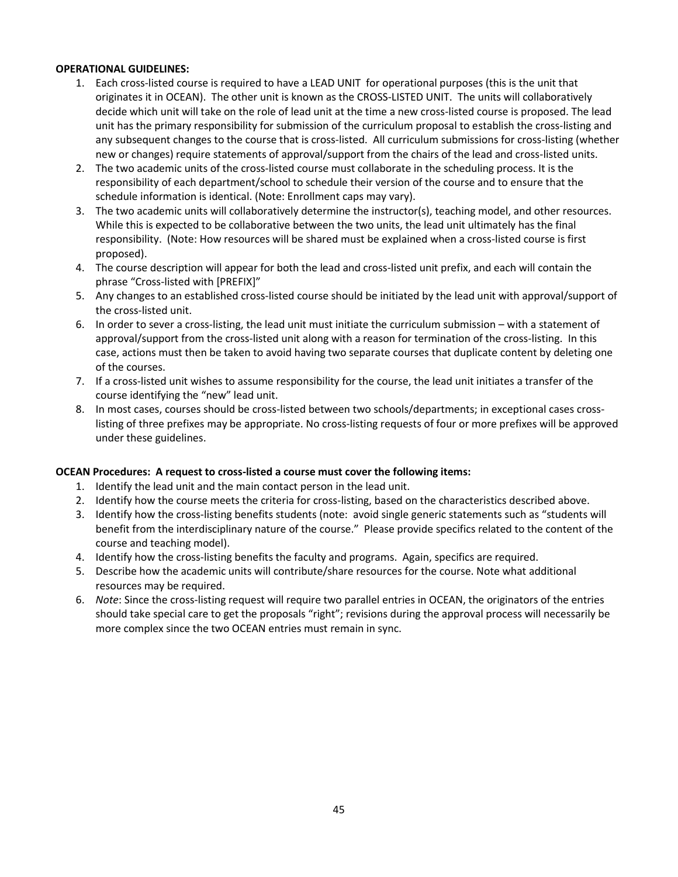#### **OPERATIONAL GUIDELINES:**

- 1. Each cross-listed course is required to have a LEAD UNIT for operational purposes (this is the unit that originates it in OCEAN). The other unit is known as the CROSS-LISTED UNIT. The units will collaboratively decide which unit will take on the role of lead unit at the time a new cross-listed course is proposed. The lead unit has the primary responsibility for submission of the curriculum proposal to establish the cross-listing and any subsequent changes to the course that is cross-listed. All curriculum submissions for cross-listing (whether new or changes) require statements of approval/support from the chairs of the lead and cross-listed units.
- 2. The two academic units of the cross-listed course must collaborate in the scheduling process. It is the responsibility of each department/school to schedule their version of the course and to ensure that the schedule information is identical. (Note: Enrollment caps may vary).
- 3. The two academic units will collaboratively determine the instructor(s), teaching model, and other resources. While this is expected to be collaborative between the two units, the lead unit ultimately has the final responsibility. (Note: How resources will be shared must be explained when a cross-listed course is first proposed).
- 4. The course description will appear for both the lead and cross-listed unit prefix, and each will contain the phrase "Cross-listed with [PREFIX]"
- 5. Any changes to an established cross-listed course should be initiated by the lead unit with approval/support of the cross-listed unit.
- 6. In order to sever a cross-listing, the lead unit must initiate the curriculum submission with a statement of approval/support from the cross-listed unit along with a reason for termination of the cross-listing. In this case, actions must then be taken to avoid having two separate courses that duplicate content by deleting one of the courses.
- 7. If a cross-listed unit wishes to assume responsibility for the course, the lead unit initiates a transfer of the course identifying the "new" lead unit.
- 8. In most cases, courses should be cross-listed between two schools/departments; in exceptional cases crosslisting of three prefixes may be appropriate. No cross-listing requests of four or more prefixes will be approved under these guidelines.

#### **OCEAN Procedures: A request to cross-listed a course must cover the following items:**

- 1. Identify the lead unit and the main contact person in the lead unit.
- 2. Identify how the course meets the criteria for cross-listing, based on the characteristics described above.
- 3. Identify how the cross-listing benefits students (note: avoid single generic statements such as "students will benefit from the interdisciplinary nature of the course." Please provide specifics related to the content of the course and teaching model).
- 4. Identify how the cross-listing benefits the faculty and programs. Again, specifics are required.
- 5. Describe how the academic units will contribute/share resources for the course. Note what additional resources may be required.
- 6. *Note*: Since the cross-listing request will require two parallel entries in OCEAN, the originators of the entries should take special care to get the proposals "right"; revisions during the approval process will necessarily be more complex since the two OCEAN entries must remain in sync.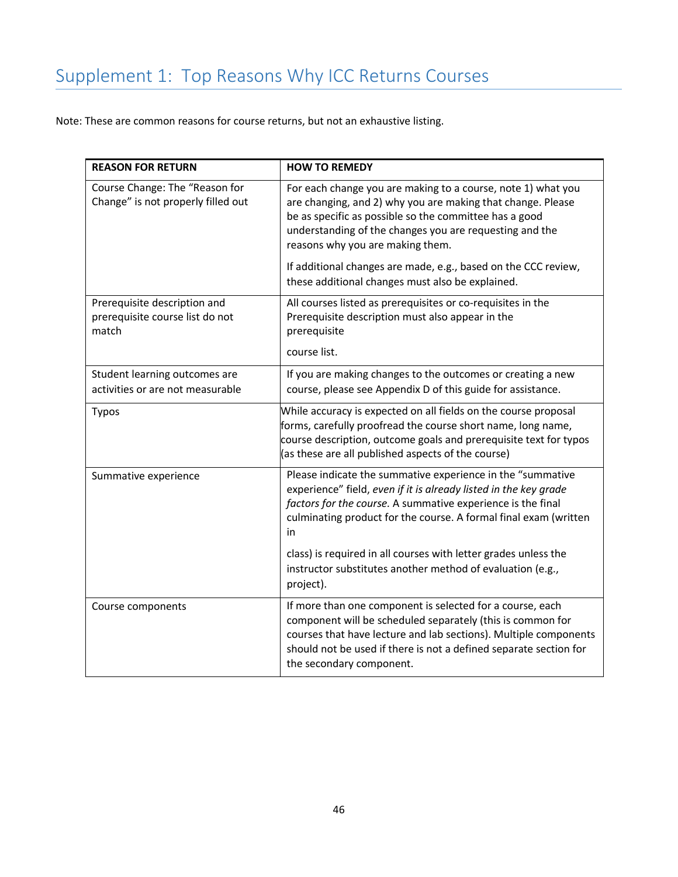# <span id="page-45-0"></span>Supplement 1: Top Reasons Why ICC Returns Courses

Note: These are common reasons for course returns, but not an exhaustive listing.

| <b>REASON FOR RETURN</b>                                                 | <b>HOW TO REMEDY</b>                                                                                                                                                                                                                                                                                                                                                                                       |
|--------------------------------------------------------------------------|------------------------------------------------------------------------------------------------------------------------------------------------------------------------------------------------------------------------------------------------------------------------------------------------------------------------------------------------------------------------------------------------------------|
| Course Change: The "Reason for<br>Change" is not properly filled out     | For each change you are making to a course, note 1) what you<br>are changing, and 2) why you are making that change. Please<br>be as specific as possible so the committee has a good<br>understanding of the changes you are requesting and the<br>reasons why you are making them.<br>If additional changes are made, e.g., based on the CCC review,<br>these additional changes must also be explained. |
| Prerequisite description and<br>prerequisite course list do not<br>match | All courses listed as prerequisites or co-requisites in the<br>Prerequisite description must also appear in the<br>prerequisite<br>course list.                                                                                                                                                                                                                                                            |
| Student learning outcomes are<br>activities or are not measurable        | If you are making changes to the outcomes or creating a new<br>course, please see Appendix D of this guide for assistance.                                                                                                                                                                                                                                                                                 |
| Typos                                                                    | While accuracy is expected on all fields on the course proposal<br>forms, carefully proofread the course short name, long name,<br>course description, outcome goals and prerequisite text for typos<br>(as these are all published aspects of the course)                                                                                                                                                 |
| Summative experience                                                     | Please indicate the summative experience in the "summative<br>experience" field, even if it is already listed in the key grade<br>factors for the course. A summative experience is the final<br>culminating product for the course. A formal final exam (written<br>in<br>class) is required in all courses with letter grades unless the                                                                 |
|                                                                          | instructor substitutes another method of evaluation (e.g.,<br>project).                                                                                                                                                                                                                                                                                                                                    |
| Course components                                                        | If more than one component is selected for a course, each<br>component will be scheduled separately (this is common for<br>courses that have lecture and lab sections). Multiple components<br>should not be used if there is not a defined separate section for<br>the secondary component.                                                                                                               |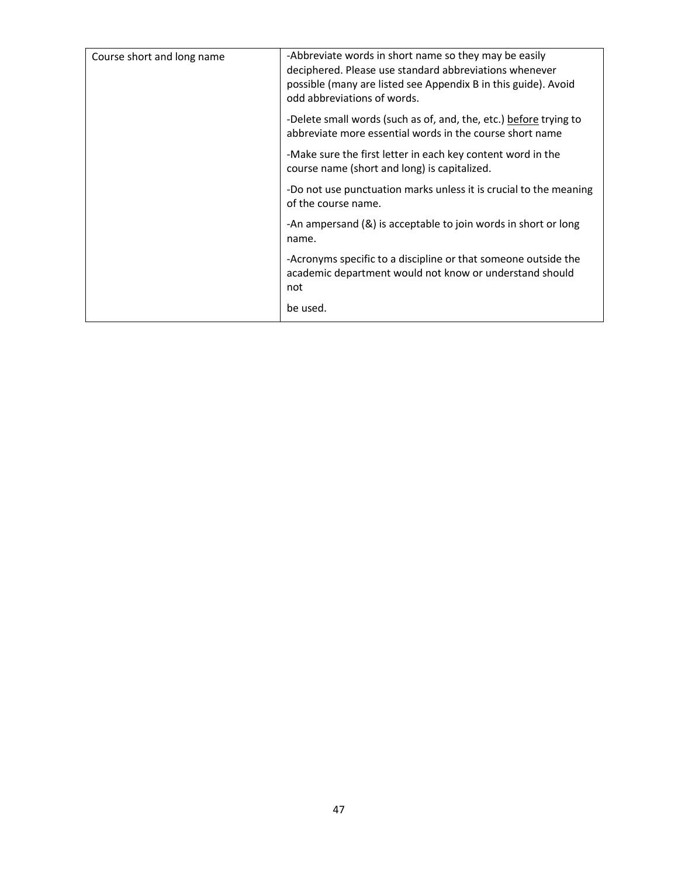| Course short and long name | -Abbreviate words in short name so they may be easily<br>deciphered. Please use standard abbreviations whenever<br>possible (many are listed see Appendix B in this guide). Avoid<br>odd abbreviations of words. |
|----------------------------|------------------------------------------------------------------------------------------------------------------------------------------------------------------------------------------------------------------|
|                            | -Delete small words (such as of, and, the, etc.) before trying to<br>abbreviate more essential words in the course short name                                                                                    |
|                            | -Make sure the first letter in each key content word in the<br>course name (short and long) is capitalized.                                                                                                      |
|                            | -Do not use punctuation marks unless it is crucial to the meaning<br>of the course name.                                                                                                                         |
|                            | -An ampersand (&) is acceptable to join words in short or long<br>name.                                                                                                                                          |
|                            | -Acronyms specific to a discipline or that someone outside the<br>academic department would not know or understand should<br>not                                                                                 |
|                            | be used.                                                                                                                                                                                                         |